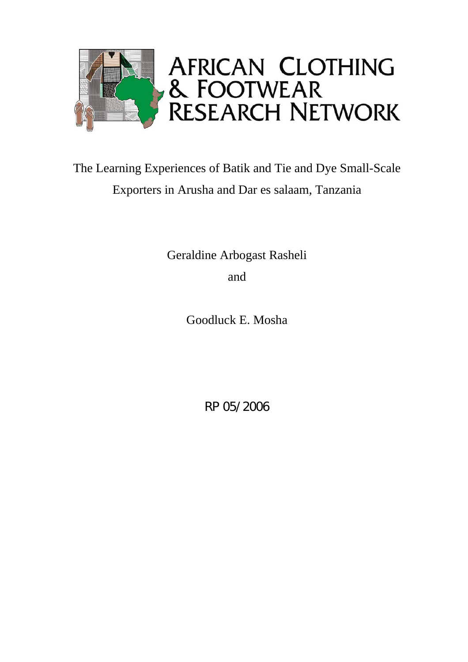

# The Learning Experiences of Batik and Tie and Dye Small-Scale Exporters in Arusha and Dar es salaam, Tanzania

Geraldine Arbogast Rasheli and

Goodluck E. Mosha

RP 05/2006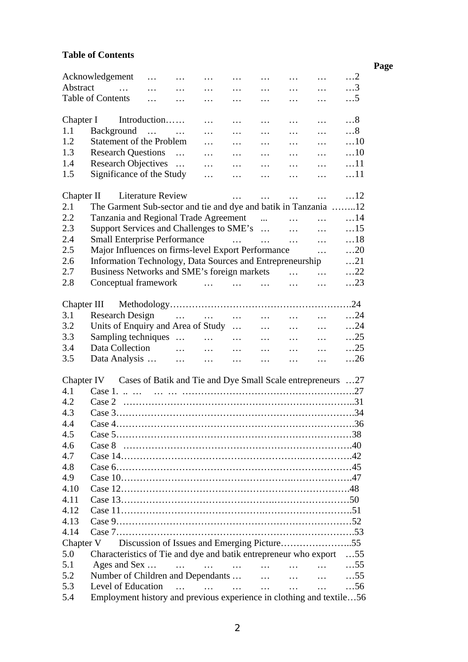## **Table of Contents**

|           |                                                                      |                          |                             |                                                             |          |          |                                                                                                                                          |                                                                                                                                                                                                                                   |            | Page |
|-----------|----------------------------------------------------------------------|--------------------------|-----------------------------|-------------------------------------------------------------|----------|----------|------------------------------------------------------------------------------------------------------------------------------------------|-----------------------------------------------------------------------------------------------------------------------------------------------------------------------------------------------------------------------------------|------------|------|
|           | Acknowledgement                                                      | $\cdots$                 | $\sim$ $\sim$ $\sim$ $\sim$ | $\cdots$                                                    | $\cdots$ |          | $\mathbf{r} = \mathbf{r} \cdot \mathbf{r}$ and $\mathbf{r} = \mathbf{r} \cdot \mathbf{r}$ and $\mathbf{r} = \mathbf{r} \cdot \mathbf{r}$ |                                                                                                                                                                                                                                   | $\dots$ 2  |      |
| Abstract  | المنفر المنفر المنفر المنفر المنفر المنفر المنفر المنفر المنفر       |                          |                             |                                                             |          |          |                                                                                                                                          |                                                                                                                                                                                                                                   | $\ldots$ 3 |      |
|           | Table of Contents                                                    |                          | $\cdots$ $\cdots$           | $\cdots$                                                    | $\cdots$ | $\cdots$ |                                                                                                                                          | $\cdots$ $\cdots$                                                                                                                                                                                                                 | $\ldots$ 5 |      |
|           |                                                                      |                          |                             |                                                             |          |          |                                                                                                                                          |                                                                                                                                                                                                                                   |            |      |
| Chapter I | Introduction                                                         |                          |                             | $\cdots$                                                    | $\cdots$ | $\cdots$ |                                                                                                                                          | $\cdots$ $\cdots$                                                                                                                                                                                                                 | $\dots 8$  |      |
| 1.1       | Background                                                           |                          |                             |                                                             |          |          | $\ldots$ . $\ldots$ . $\ldots$ . $\ldots$ . $\ldots$                                                                                     |                                                                                                                                                                                                                                   | $\dots 8$  |      |
| 1.2       | <b>Statement of the Problem</b>                                      |                          |                             |                                                             |          |          | and the company of the company of the                                                                                                    |                                                                                                                                                                                                                                   | $\dots$ 10 |      |
| 1.3       | Research Questions                                                   |                          |                             |                                                             |          |          |                                                                                                                                          | $\mathbf{r}$ , and the state of the state of the state of the state of the state of the state of the state of the state of the state of the state of the state of the state of the state of the state of the state of the state o | $\dots$ 10 |      |
| 1.4       | Research Objectives                                                  |                          |                             |                                                             |          |          |                                                                                                                                          |                                                                                                                                                                                                                                   | $\dots$ 11 |      |
| 1.5       | Significance of the Study                                            |                          |                             | $\cdots$                                                    | $\cdots$ | $\cdots$ | $\cdots$                                                                                                                                 | $\ddots$                                                                                                                                                                                                                          | $\dots$ 11 |      |
|           |                                                                      |                          |                             |                                                             |          |          |                                                                                                                                          |                                                                                                                                                                                                                                   |            |      |
|           | Chapter II                                                           | <b>Literature Review</b> |                             |                                                             |          |          |                                                                                                                                          | $\mathbf{r} = \mathbf{r} \cdot \mathbf{r}$ and $\mathbf{r} = \mathbf{r} \cdot \mathbf{r}$ and $\mathbf{r} = \mathbf{r} \cdot \mathbf{r}$                                                                                          | $\dots$ 12 |      |
| 2.1       | The Garment Sub-sector and tie and dye and batik in Tanzania 12      |                          |                             |                                                             |          |          |                                                                                                                                          |                                                                                                                                                                                                                                   |            |      |
| 2.2       | Tanzania and Regional Trade Agreement                                |                          |                             |                                                             |          |          |                                                                                                                                          |                                                                                                                                                                                                                                   | $\dots$ 14 |      |
| 2.3       | Support Services and Challenges to SME's                             |                          |                             |                                                             |          |          |                                                                                                                                          |                                                                                                                                                                                                                                   | $\dots$ 15 |      |
| 2.4       | Small Enterprise Performance                                         |                          |                             |                                                             |          |          |                                                                                                                                          |                                                                                                                                                                                                                                   | $\dots$ 18 |      |
| 2.5       | Major Influences on firms-level Export Performance                   |                          |                             |                                                             |          |          |                                                                                                                                          | $\cdots$                                                                                                                                                                                                                          | $\dots$ 20 |      |
| 2.6       | Information Technology, Data Sources and Entrepreneurship            |                          |                             |                                                             |          |          |                                                                                                                                          |                                                                                                                                                                                                                                   | $\dots$ 21 |      |
| 2.7       | Business Networks and SME's foreign markets                          |                          |                             |                                                             |          |          |                                                                                                                                          |                                                                                                                                                                                                                                   | $\dots$ 22 |      |
| 2.8       | Conceptual framework                                                 |                          |                             |                                                             |          |          | $\cdots$                                                                                                                                 | $\cdots$                                                                                                                                                                                                                          | $\dots$ 23 |      |
|           |                                                                      |                          |                             |                                                             |          |          |                                                                                                                                          |                                                                                                                                                                                                                                   |            |      |
|           |                                                                      |                          |                             |                                                             |          |          |                                                                                                                                          |                                                                                                                                                                                                                                   |            |      |
| 3.1       | Research Design                                                      |                          |                             |                                                             |          |          |                                                                                                                                          |                                                                                                                                                                                                                                   | $\dots$ 24 |      |
| 3.2       | Units of Enquiry and Area of Study                                   |                          |                             |                                                             |          |          |                                                                                                                                          |                                                                                                                                                                                                                                   | $\dots$ 24 |      |
| 3.3       | Sampling techniques                                                  |                          |                             |                                                             |          |          |                                                                                                                                          |                                                                                                                                                                                                                                   | $\dots$ 25 |      |
| 3.4       | Data Collection                                                      |                          |                             |                                                             |          |          |                                                                                                                                          |                                                                                                                                                                                                                                   | $\dots$ 25 |      |
| 3.5       | Data Analysis                                                        |                          |                             |                                                             |          |          |                                                                                                                                          | $\mathbf{r}$ . The state of $\mathbf{r}$                                                                                                                                                                                          | $\dots$ 26 |      |
|           |                                                                      |                          |                             |                                                             |          |          |                                                                                                                                          |                                                                                                                                                                                                                                   |            |      |
|           | Chapter IV                                                           |                          |                             | Cases of Batik and Tie and Dye Small Scale entrepreneurs 27 |          |          |                                                                                                                                          |                                                                                                                                                                                                                                   |            |      |
| 4.1       |                                                                      |                          |                             |                                                             |          |          |                                                                                                                                          |                                                                                                                                                                                                                                   |            |      |
| 4.2       |                                                                      |                          |                             |                                                             |          |          |                                                                                                                                          |                                                                                                                                                                                                                                   |            |      |
| 4.3       | $\cos 3$                                                             |                          |                             |                                                             |          |          |                                                                                                                                          |                                                                                                                                                                                                                                   | .34        |      |
| 4.4       |                                                                      |                          |                             |                                                             |          |          |                                                                                                                                          |                                                                                                                                                                                                                                   |            |      |
| 4.5       |                                                                      |                          |                             |                                                             |          |          |                                                                                                                                          |                                                                                                                                                                                                                                   |            |      |
|           |                                                                      |                          |                             |                                                             |          |          |                                                                                                                                          |                                                                                                                                                                                                                                   |            |      |
| 4.6       |                                                                      |                          |                             |                                                             |          |          |                                                                                                                                          |                                                                                                                                                                                                                                   |            |      |
| 4.7       |                                                                      |                          |                             |                                                             |          |          |                                                                                                                                          |                                                                                                                                                                                                                                   |            |      |
| 4.8       |                                                                      |                          |                             |                                                             |          |          |                                                                                                                                          |                                                                                                                                                                                                                                   |            |      |
| 4.9       |                                                                      |                          |                             |                                                             |          |          |                                                                                                                                          |                                                                                                                                                                                                                                   |            |      |
| 4.10      |                                                                      |                          |                             |                                                             |          |          |                                                                                                                                          |                                                                                                                                                                                                                                   |            |      |
| 4.11      |                                                                      |                          |                             |                                                             |          |          |                                                                                                                                          |                                                                                                                                                                                                                                   |            |      |
| 4.12      |                                                                      |                          |                             |                                                             |          |          |                                                                                                                                          |                                                                                                                                                                                                                                   |            |      |
| 4.13      |                                                                      |                          |                             |                                                             |          |          |                                                                                                                                          |                                                                                                                                                                                                                                   |            |      |
| 4.14      |                                                                      |                          |                             |                                                             |          |          |                                                                                                                                          |                                                                                                                                                                                                                                   |            |      |
| Chapter V |                                                                      |                          |                             |                                                             |          |          |                                                                                                                                          |                                                                                                                                                                                                                                   |            |      |
| 5.0       | Characteristics of Tie and dye and batik entrepreneur who export     |                          |                             |                                                             |          |          |                                                                                                                                          |                                                                                                                                                                                                                                   | $\dots$ 55 |      |
| 5.1       | Ages and Sex                                                         |                          |                             | المستحدث والمنفر والمنفس والمنفر والمنفر والمنفر والمنافس   |          |          |                                                                                                                                          |                                                                                                                                                                                                                                   | $\dots$ 55 |      |
| 5.2       | Number of Children and Dependants                                    |                          |                             |                                                             |          |          |                                                                                                                                          |                                                                                                                                                                                                                                   | $\dots$ 55 |      |
| 5.3       | Level of Education                                                   |                          | $\ddotsc$                   | المستحدث المتناول المتناول                                  |          |          |                                                                                                                                          |                                                                                                                                                                                                                                   | $\dots$ 56 |      |
| 5.4       | Employment history and previous experience in clothing and textile56 |                          |                             |                                                             |          |          |                                                                                                                                          | $\cdots$ $\cdots$                                                                                                                                                                                                                 |            |      |
|           |                                                                      |                          |                             |                                                             |          |          |                                                                                                                                          |                                                                                                                                                                                                                                   |            |      |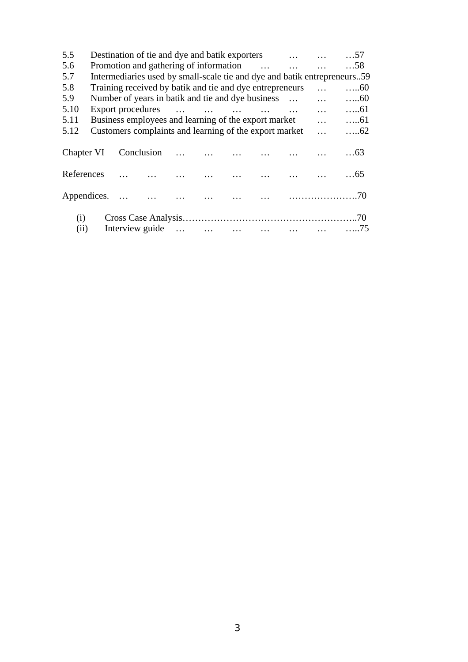| 5.5  |                                                                                      |          |            |  |                                                        |  |  | Destination of tie and dye and batik exporters |            | $\dots$ 57                                                               |  |  |  |
|------|--------------------------------------------------------------------------------------|----------|------------|--|--------------------------------------------------------|--|--|------------------------------------------------|------------|--------------------------------------------------------------------------|--|--|--|
| 5.6  |                                                                                      |          |            |  |                                                        |  |  | Promotion and gathering of information         |            | $\dots$ 58                                                               |  |  |  |
| 5.7  |                                                                                      |          |            |  |                                                        |  |  |                                                |            | Intermediaries used by small-scale tie and dye and batik entrepreneurs59 |  |  |  |
| 5.8  | Training received by batik and tie and dye entrepreneurs<br>$\dots 60$<br>$\dddotsc$ |          |            |  |                                                        |  |  |                                                |            |                                                                          |  |  |  |
| 5.9  | Number of years in batik and tie and dye business<br>$\dddotsc$<br>$\dots 60$        |          |            |  |                                                        |  |  |                                                |            |                                                                          |  |  |  |
| 5.10 | Export procedures                                                                    | $\cdots$ | $\dots 61$ |  |                                                        |  |  |                                                |            |                                                                          |  |  |  |
| 5.11 |                                                                                      |          |            |  | Business employees and learning of the export market   |  |  |                                                | $\cdots$   | $\dots 61$                                                               |  |  |  |
| 5.12 |                                                                                      |          |            |  | Customers complaints and learning of the export market |  |  |                                                | $\dddotsc$ | $\dots 62$                                                               |  |  |  |
|      |                                                                                      |          |            |  |                                                        |  |  |                                                |            |                                                                          |  |  |  |
|      |                                                                                      |          |            |  |                                                        |  |  |                                                |            |                                                                          |  |  |  |
|      |                                                                                      |          |            |  |                                                        |  |  |                                                |            |                                                                          |  |  |  |
|      |                                                                                      |          |            |  |                                                        |  |  |                                                |            |                                                                          |  |  |  |
|      |                                                                                      |          |            |  |                                                        |  |  |                                                |            |                                                                          |  |  |  |
|      |                                                                                      |          |            |  |                                                        |  |  |                                                |            |                                                                          |  |  |  |
|      |                                                                                      |          |            |  |                                                        |  |  |                                                |            |                                                                          |  |  |  |
| (i)  |                                                                                      |          |            |  |                                                        |  |  |                                                |            |                                                                          |  |  |  |
| (ii) |                                                                                      |          |            |  |                                                        |  |  |                                                |            |                                                                          |  |  |  |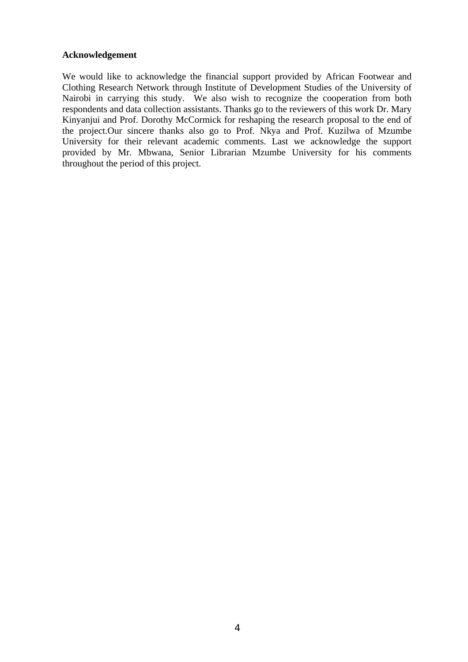#### **Acknowledgement**

We would like to acknowledge the financial support provided by African Footwear and Clothing Research Network through Institute of Development Studies of the University of Nairobi in carrying this study. We also wish to recognize the cooperation from both respondents and data collection assistants. Thanks go to the reviewers of this work Dr. Mary Kinyanjui and Prof. Dorothy McCormick for reshaping the research proposal to the end of the project.Our sincere thanks also go to Prof. Nkya and Prof. Kuzilwa of Mzumbe University for their relevant academic comments. Last we acknowledge the support provided by Mr. Mbwana, Senior Librarian Mzumbe University for his comments throughout the period of this project.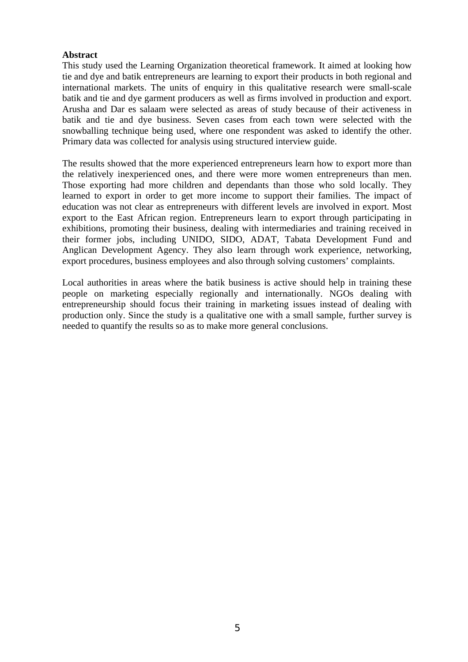#### **Abstract**

This study used the Learning Organization theoretical framework. It aimed at looking how tie and dye and batik entrepreneurs are learning to export their products in both regional and international markets. The units of enquiry in this qualitative research were small-scale batik and tie and dye garment producers as well as firms involved in production and export. Arusha and Dar es salaam were selected as areas of study because of their activeness in batik and tie and dye business. Seven cases from each town were selected with the snowballing technique being used, where one respondent was asked to identify the other. Primary data was collected for analysis using structured interview guide.

The results showed that the more experienced entrepreneurs learn how to export more than the relatively inexperienced ones, and there were more women entrepreneurs than men. Those exporting had more children and dependants than those who sold locally. They learned to export in order to get more income to support their families. The impact of education was not clear as entrepreneurs with different levels are involved in export. Most export to the East African region. Entrepreneurs learn to export through participating in exhibitions, promoting their business, dealing with intermediaries and training received in their former jobs, including UNIDO, SIDO, ADAT, Tabata Development Fund and Anglican Development Agency. They also learn through work experience, networking, export procedures, business employees and also through solving customers' complaints.

Local authorities in areas where the batik business is active should help in training these people on marketing especially regionally and internationally. NGOs dealing with entrepreneurship should focus their training in marketing issues instead of dealing with production only. Since the study is a qualitative one with a small sample, further survey is needed to quantify the results so as to make more general conclusions.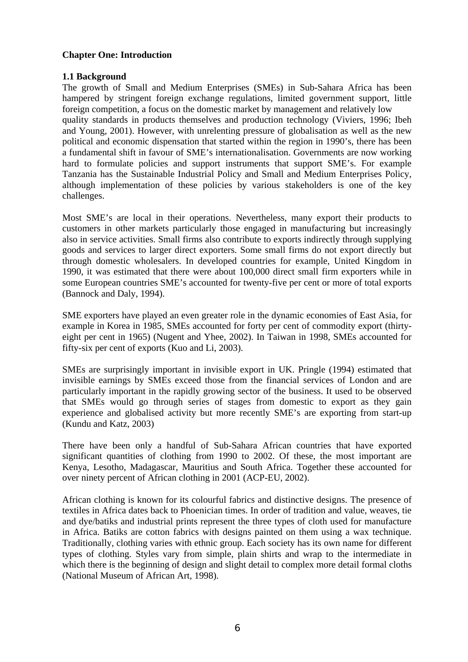## **Chapter One: Introduction**

## **1.1 Background**

The growth of Small and Medium Enterprises (SMEs) in Sub-Sahara Africa has been hampered by stringent foreign exchange regulations, limited government support, little foreign competition, a focus on the domestic market by management and relatively low

quality standards in products themselves and production technology (Viviers, 1996; Ibeh and Young, 2001). However, with unrelenting pressure of globalisation as well as the new political and economic dispensation that started within the region in 1990's, there has been a fundamental shift in favour of SME's internationalisation. Governments are now working hard to formulate policies and support instruments that support SME's. For example Tanzania has the Sustainable Industrial Policy and Small and Medium Enterprises Policy, although implementation of these policies by various stakeholders is one of the key challenges.

Most SME's are local in their operations. Nevertheless, many export their products to customers in other markets particularly those engaged in manufacturing but increasingly also in service activities. Small firms also contribute to exports indirectly through supplying goods and services to larger direct exporters. Some small firms do not export directly but through domestic wholesalers. In developed countries for example, United Kingdom in 1990, it was estimated that there were about 100,000 direct small firm exporters while in some European countries SME's accounted for twenty-five per cent or more of total exports (Bannock and Daly, 1994).

SME exporters have played an even greater role in the dynamic economies of East Asia, for example in Korea in 1985, SMEs accounted for forty per cent of commodity export (thirtyeight per cent in 1965) (Nugent and Yhee, 2002). In Taiwan in 1998, SMEs accounted for fifty-six per cent of exports (Kuo and Li, 2003).

SMEs are surprisingly important in invisible export in UK. Pringle (1994) estimated that invisible earnings by SMEs exceed those from the financial services of London and are particularly important in the rapidly growing sector of the business. It used to be observed that SMEs would go through series of stages from domestic to export as they gain experience and globalised activity but more recently SME's are exporting from start-up (Kundu and Katz, 2003)

There have been only a handful of Sub-Sahara African countries that have exported significant quantities of clothing from 1990 to 2002. Of these, the most important are Kenya, Lesotho, Madagascar, Mauritius and South Africa. Together these accounted for over ninety percent of African clothing in 2001 (ACP-EU, 2002).

African clothing is known for its colourful fabrics and distinctive designs. The presence of textiles in Africa dates back to Phoenician times. In order of tradition and value, weaves, tie and dye/batiks and industrial prints represent the three types of cloth used for manufacture in Africa. Batiks are cotton fabrics with designs painted on them using a wax technique. Traditionally, clothing varies with ethnic group. Each society has its own name for different types of clothing. Styles vary from simple, plain shirts and wrap to the intermediate in which there is the beginning of design and slight detail to complex more detail formal cloths (National Museum of African Art, 1998).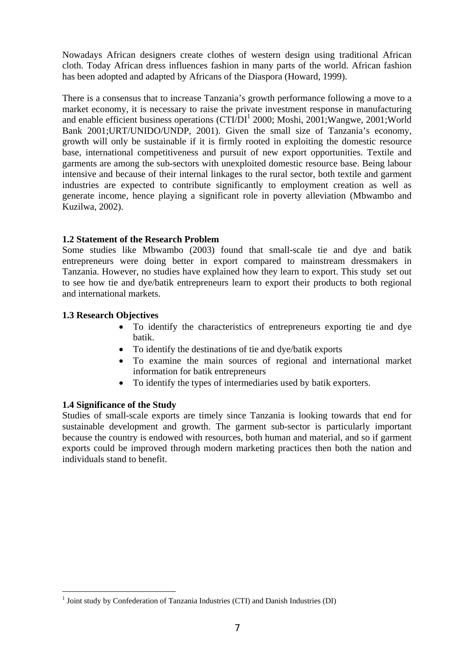Nowadays African designers create clothes of western design using traditional African cloth. Today African dress influences fashion in many parts of the world. African fashion has been adopted and adapted by Africans of the Diaspora (Howard, 1999).

There is a consensus that to increase Tanzania's growth performance following a move to a market economy, it is necessary to raise the private investment response in manufacturing and enable efficient business operations (CTI/DI<sup>1</sup> [2](#page-6-0)000; Moshi, 2001;Wangwe, 2001;World Bank 2001;URT/UNIDO/UNDP, 2001). Given the small size of Tanzania's economy, growth will only be sustainable if it is firmly rooted in exploiting the domestic resource base, international competitiveness and pursuit of new export opportunities. Textile and garments are among the sub-sectors with unexploited domestic resource base. Being labour intensive and because of their internal linkages to the rural sector, both textile and garment industries are expected to contribute significantly to employment creation as well as generate income, hence playing a significant role in poverty alleviation (Mbwambo and Kuzilwa, 2002).

## **1.2 Statement of the Research Problem**

Some studies like Mbwambo (2003) found that small-scale tie and dye and batik entrepreneurs were doing better in export compared to mainstream dressmakers in Tanzania. However, no studies have explained how they learn to export. This study set out to see how tie and dye/batik entrepreneurs learn to export their products to both regional and international markets.

#### **1.3 Research Objectives**

- To identify the characteristics of entrepreneurs exporting tie and dye batik.
- To identify the destinations of tie and dye/batik exports
- To examine the main sources of regional and international market information for batik entrepreneurs
- To identify the types of intermediaries used by batik exporters.

#### **1.4 Significance of the Study**

l

Studies of small-scale exports are timely since Tanzania is looking towards that end for sustainable development and growth. The garment sub-sector is particularly important because the country is endowed with resources, both human and material, and so if garment exports could be improved through modern marketing practices then both the nation and individuals stand to benefit.

<span id="page-6-0"></span><sup>&</sup>lt;sup>1</sup> Joint study by Confederation of Tanzania Industries (CTI) and Danish Industries (DI)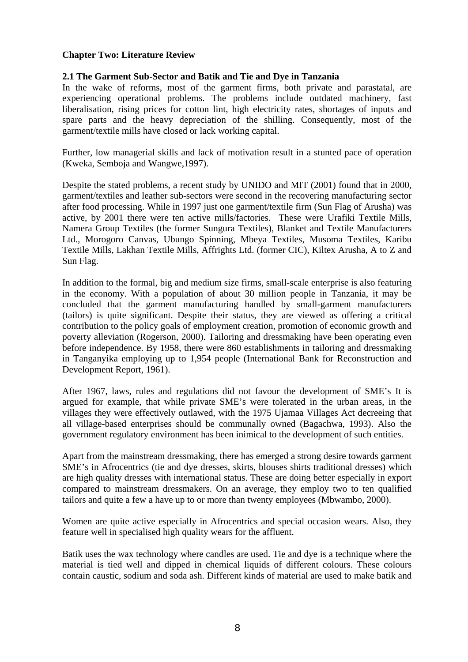#### **Chapter Two: Literature Review**

## **2.1 The Garment Sub-Sector and Batik and Tie and Dye in Tanzania**

In the wake of reforms, most of the garment firms, both private and parastatal, are experiencing operational problems. The problems include outdated machinery, fast liberalisation, rising prices for cotton lint, high electricity rates, shortages of inputs and spare parts and the heavy depreciation of the shilling. Consequently, most of the garment/textile mills have closed or lack working capital.

Further, low managerial skills and lack of motivation result in a stunted pace of operation (Kweka, Semboja and Wangwe,1997).

Despite the stated problems, a recent study by UNIDO and MIT (2001) found that in 2000, garment/textiles and leather sub-sectors were second in the recovering manufacturing sector after food processing. While in 1997 just one garment/textile firm (Sun Flag of Arusha) was active, by 2001 there were ten active mills/factories. These were Urafiki Textile Mills, Namera Group Textiles (the former Sungura Textiles), Blanket and Textile Manufacturers Ltd., Morogoro Canvas, Ubungo Spinning, Mbeya Textiles, Musoma Textiles, Karibu Textile Mills, Lakhan Textile Mills, Affrights Ltd. (former CIC), Kiltex Arusha, A to Z and Sun Flag.

In addition to the formal, big and medium size firms, small-scale enterprise is also featuring in the economy. With a population of about 30 million people in Tanzania, it may be concluded that the garment manufacturing handled by small-garment manufacturers (tailors) is quite significant. Despite their status, they are viewed as offering a critical contribution to the policy goals of employment creation, promotion of economic growth and poverty alleviation (Rogerson, 2000). Tailoring and dressmaking have been operating even before independence. By 1958, there were 860 establishments in tailoring and dressmaking in Tanganyika employing up to 1,954 people (International Bank for Reconstruction and Development Report, 1961).

After 1967, laws, rules and regulations did not favour the development of SME's It is argued for example, that while private SME's were tolerated in the urban areas, in the villages they were effectively outlawed, with the 1975 Ujamaa Villages Act decreeing that all village-based enterprises should be communally owned (Bagachwa, 1993). Also the government regulatory environment has been inimical to the development of such entities.

Apart from the mainstream dressmaking, there has emerged a strong desire towards garment SME's in Afrocentrics (tie and dye dresses, skirts, blouses shirts traditional dresses) which are high quality dresses with international status. These are doing better especially in export compared to mainstream dressmakers. On an average, they employ two to ten qualified tailors and quite a few a have up to or more than twenty employees (Mbwambo, 2000).

Women are quite active especially in Afrocentrics and special occasion wears. Also, they feature well in specialised high quality wears for the affluent.

Batik uses the wax technology where candles are used. Tie and dye is a technique where the material is tied well and dipped in chemical liquids of different colours. These colours contain caustic, sodium and soda ash. Different kinds of material are used to make batik and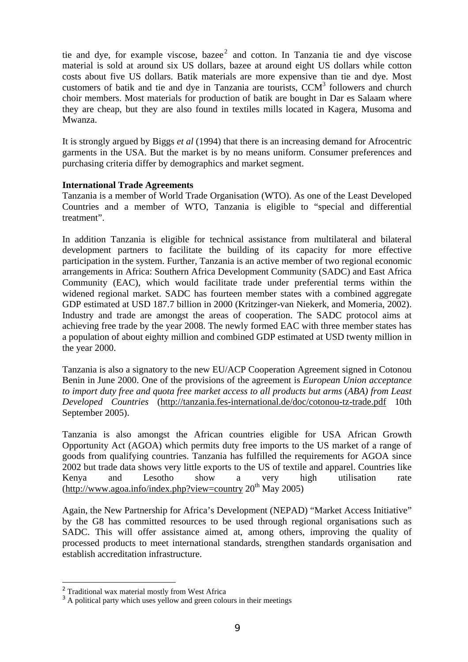tieand dye, for example viscose, baze $e^2$  and cotton. In Tanzania tie and dye viscose material is sold at around six US dollars, bazee at around eight US dollars while cotton costs about five US dollars. Batik materials are more expensive than tie and dye. Most customersof batik and tie and dye in Tanzania are tourists,  $CCM<sup>3</sup>$  followers and church choir members. Most materials for production of batik are bought in Dar es Salaam where they are cheap, but they are also found in textiles mills located in Kagera, Musoma and Mwanza.

It is strongly argued by Biggs *et al* (1994) that there is an increasing demand for Afrocentric garments in the USA. But the market is by no means uniform. Consumer preferences and purchasing criteria differ by demographics and market segment.

#### **International Trade Agreements**

Tanzania is a member of World Trade Organisation (WTO). As one of the Least Developed Countries and a member of WTO, Tanzania is eligible to "special and differential treatment".

In addition Tanzania is eligible for technical assistance from multilateral and bilateral development partners to facilitate the building of its capacity for more effective participation in the system. Further, Tanzania is an active member of two regional economic arrangements in Africa: Southern Africa Development Community (SADC) and East Africa Community (EAC), which would facilitate trade under preferential terms within the widened regional market. SADC has fourteen member states with a combined aggregate GDP estimated at USD 187.7 billion in 2000 (Kritzinger-van Niekerk, and Momeria, 2002). Industry and trade are amongst the areas of cooperation. The SADC protocol aims at achieving free trade by the year 2008. The newly formed EAC with three member states has a population of about eighty million and combined GDP estimated at USD twenty million in the year 2000.

Tanzania is also a signatory to the new EU/ACP Cooperation Agreement signed in Cotonou Benin in June 2000. One of the provisions of the agreement is *European Union acceptance to import duty free and quota free market access to all products but arms* (*ABA) from Least Developed Countries* [\(http://tanzania.fes-international.de/doc/cotonou-tz-trade.pdf](http://tanzania.fes-international.de/doc/cotonou-tz-trade.pdf) 10th September 2005).

Tanzania is also amongst the African countries eligible for USA African Growth Opportunity Act (AGOA) which permits duty free imports to the US market of a range of goods from qualifying countries. Tanzania has fulfilled the requirements for AGOA since 2002 but trade data shows very little exports to the US of textile and apparel. Countries like Kenya and Lesotho show a very high utilisation rate  $(\text{http://www.agoa.info/index.php?view=countery 20<sup>th</sup> May 2005})$ 

Again, the New Partnership for Africa's Development (NEPAD) "Market Access Initiative" by the G8 has committed resources to be used through regional organisations such as SADC. This will offer assistance aimed at, among others, improving the quality of processed products to meet international standards, strengthen standards organisation and establish accreditation infrastructure.

l

<span id="page-8-0"></span><sup>&</sup>lt;sup>2</sup> Traditional wax material mostly from West Africa

<span id="page-8-1"></span><sup>&</sup>lt;sup>3</sup> A political party which uses yellow and green colours in their meetings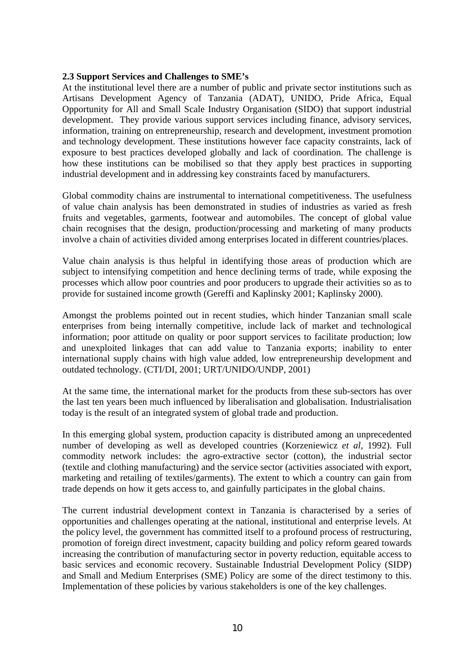#### **2.3 Support Services and Challenges to SME's**

At the institutional level there are a number of public and private sector institutions such as Artisans Development Agency of Tanzania (ADAT), UNIDO, Pride Africa, Equal Opportunity for All and Small Scale Industry Organisation (SIDO) that support industrial development. They provide various support services including finance, advisory services, information, training on entrepreneurship, research and development, investment promotion and technology development. These institutions however face capacity constraints, lack of exposure to best practices developed globally and lack of coordination. The challenge is how these institutions can be mobilised so that they apply best practices in supporting industrial development and in addressing key constraints faced by manufacturers.

Global commodity chains are instrumental to international competitiveness. The usefulness of value chain analysis has been demonstrated in studies of industries as varied as fresh fruits and vegetables, garments, footwear and automobiles. The concept of global value chain recognises that the design, production/processing and marketing of many products involve a chain of activities divided among enterprises located in different countries/places.

Value chain analysis is thus helpful in identifying those areas of production which are subject to intensifying competition and hence declining terms of trade, while exposing the processes which allow poor countries and poor producers to upgrade their activities so as to provide for sustained income growth (Gereffi and Kaplinsky 2001; Kaplinsky 2000).

Amongst the problems pointed out in recent studies, which hinder Tanzanian small scale enterprises from being internally competitive, include lack of market and technological information; poor attitude on quality or poor support services to facilitate production; low and unexploited linkages that can add value to Tanzania exports; inability to enter international supply chains with high value added, low entrepreneurship development and outdated technology. (CTI/DI, 2001; URT/UNIDO/UNDP, 2001)

At the same time, the international market for the products from these sub-sectors has over the last ten years been much influenced by liberalisation and globalisation. Industrialisation today is the result of an integrated system of global trade and production.

In this emerging global system, production capacity is distributed among an unprecedented number of developing as well as developed countries (Korzeniewicz *et al,* 1992). Full commodity network includes: the agro-extractive sector (cotton), the industrial sector (textile and clothing manufacturing) and the service sector (activities associated with export, marketing and retailing of textiles/garments). The extent to which a country can gain from trade depends on how it gets access to, and gainfully participates in the global chains.

The current industrial development context in Tanzania is characterised by a series of opportunities and challenges operating at the national, institutional and enterprise levels. At the policy level, the government has committed itself to a profound process of restructuring, promotion of foreign direct investment, capacity building and policy reform geared towards increasing the contribution of manufacturing sector in poverty reduction, equitable access to basic services and economic recovery. Sustainable Industrial Development Policy (SIDP) and Small and Medium Enterprises (SME) Policy are some of the direct testimony to this. Implementation of these policies by various stakeholders is one of the key challenges.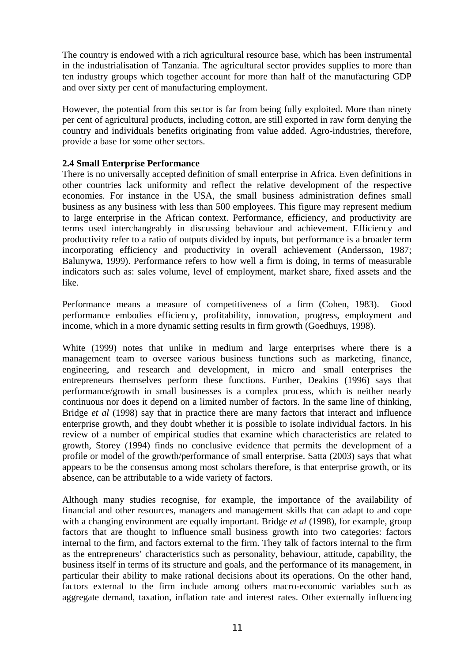The country is endowed with a rich agricultural resource base, which has been instrumental in the industrialisation of Tanzania. The agricultural sector provides supplies to more than ten industry groups which together account for more than half of the manufacturing GDP and over sixty per cent of manufacturing employment.

However, the potential from this sector is far from being fully exploited. More than ninety per cent of agricultural products, including cotton, are still exported in raw form denying the country and individuals benefits originating from value added. Agro-industries, therefore, provide a base for some other sectors.

## **2.4 Small Enterprise Performance**

There is no universally accepted definition of small enterprise in Africa. Even definitions in other countries lack uniformity and reflect the relative development of the respective economies. For instance in the USA, the small business administration defines small business as any business with less than 500 employees. This figure may represent medium to large enterprise in the African context. Performance, efficiency, and productivity are terms used interchangeably in discussing behaviour and achievement. Efficiency and productivity refer to a ratio of outputs divided by inputs, but performance is a broader term incorporating efficiency and productivity in overall achievement (Andersson, 1987; Balunywa, 1999). Performance refers to how well a firm is doing, in terms of measurable indicators such as: sales volume, level of employment, market share, fixed assets and the like.

Performance means a measure of competitiveness of a firm (Cohen, 1983). Good performance embodies efficiency, profitability, innovation, progress, employment and income, which in a more dynamic setting results in firm growth (Goedhuys, 1998).

White (1999) notes that unlike in medium and large enterprises where there is a management team to oversee various business functions such as marketing, finance, engineering, and research and development, in micro and small enterprises the entrepreneurs themselves perform these functions. Further, Deakins (1996) says that performance/growth in small businesses is a complex process, which is neither nearly continuous nor does it depend on a limited number of factors. In the same line of thinking, Bridge *et al* (1998) say that in practice there are many factors that interact and influence enterprise growth, and they doubt whether it is possible to isolate individual factors. In his review of a number of empirical studies that examine which characteristics are related to growth, Storey (1994) finds no conclusive evidence that permits the development of a profile or model of the growth/performance of small enterprise. Satta (2003) says that what appears to be the consensus among most scholars therefore, is that enterprise growth, or its absence, can be attributable to a wide variety of factors.

Although many studies recognise, for example, the importance of the availability of financial and other resources, managers and management skills that can adapt to and cope with a changing environment are equally important. Bridge *et al* (1998), for example, group factors that are thought to influence small business growth into two categories: factors internal to the firm, and factors external to the firm. They talk of factors internal to the firm as the entrepreneurs' characteristics such as personality, behaviour, attitude, capability, the business itself in terms of its structure and goals, and the performance of its management, in particular their ability to make rational decisions about its operations. On the other hand, factors external to the firm include among others macro-economic variables such as aggregate demand, taxation, inflation rate and interest rates. Other externally influencing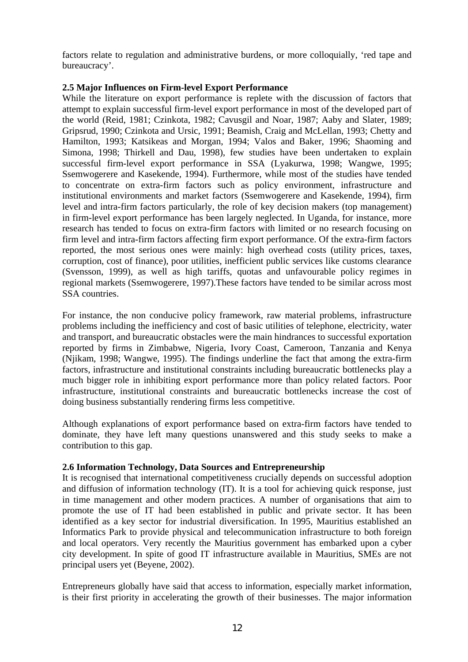factors relate to regulation and administrative burdens, or more colloquially, 'red tape and bureaucracy'.

## **2.5 Major Influences on Firm-level Export Performance**

While the literature on export performance is replete with the discussion of factors that attempt to explain successful firm-level export performance in most of the developed part of the world (Reid, 1981; Czinkota, 1982; Cavusgil and Noar, 1987; Aaby and Slater, 1989; Gripsrud, 1990; Czinkota and Ursic, 1991; Beamish, Craig and McLellan, 1993; Chetty and Hamilton, 1993; Katsikeas and Morgan, 1994; Valos and Baker, 1996; Shaoming and Simona, 1998; Thirkell and Dau, 1998), few studies have been undertaken to explain successful firm-level export performance in SSA (Lyakurwa, 1998; Wangwe, 1995; Ssemwogerere and Kasekende, 1994). Furthermore, while most of the studies have tended to concentrate on extra-firm factors such as policy environment, infrastructure and institutional environments and market factors (Ssemwogerere and Kasekende, 1994), firm level and intra-firm factors particularly, the role of key decision makers (top management) in firm-level export performance has been largely neglected. In Uganda, for instance, more research has tended to focus on extra-firm factors with limited or no research focusing on firm level and intra-firm factors affecting firm export performance. Of the extra-firm factors reported, the most serious ones were mainly: high overhead costs (utility prices, taxes, corruption, cost of finance), poor utilities, inefficient public services like customs clearance (Svensson, 1999), as well as high tariffs, quotas and unfavourable policy regimes in regional markets (Ssemwogerere, 1997).These factors have tended to be similar across most SSA countries.

For instance, the non conducive policy framework, raw material problems, infrastructure problems including the inefficiency and cost of basic utilities of telephone, electricity, water and transport, and bureaucratic obstacles were the main hindrances to successful exportation reported by firms in Zimbabwe, Nigeria, Ivory Coast, Cameroon, Tanzania and Kenya (Njikam, 1998; Wangwe, 1995). The findings underline the fact that among the extra-firm factors, infrastructure and institutional constraints including bureaucratic bottlenecks play a much bigger role in inhibiting export performance more than policy related factors. Poor infrastructure, institutional constraints and bureaucratic bottlenecks increase the cost of doing business substantially rendering firms less competitive.

Although explanations of export performance based on extra-firm factors have tended to dominate, they have left many questions unanswered and this study seeks to make a contribution to this gap.

## **2.6 Information Technology, Data Sources and Entrepreneurship**

It is recognised that international competitiveness crucially depends on successful adoption and diffusion of information technology (IT). It is a tool for achieving quick response, just in time management and other modern practices. A number of organisations that aim to promote the use of IT had been established in public and private sector. It has been identified as a key sector for industrial diversification. In 1995, Mauritius established an Informatics Park to provide physical and telecommunication infrastructure to both foreign and local operators. Very recently the Mauritius government has embarked upon a cyber city development. In spite of good IT infrastructure available in Mauritius, SMEs are not principal users yet (Beyene, 2002).

Entrepreneurs globally have said that access to information, especially market information, is their first priority in accelerating the growth of their businesses. The major information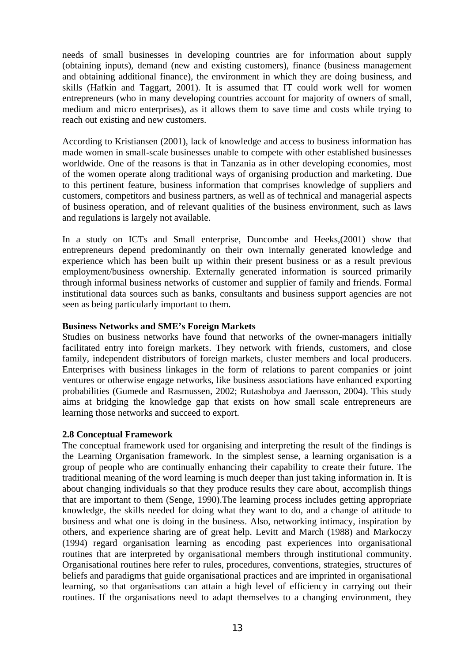needs of small businesses in developing countries are for information about supply (obtaining inputs), demand (new and existing customers), finance (business management and obtaining additional finance), the environment in which they are doing business, and skills (Hafkin and Taggart, 2001). It is assumed that IT could work well for women entrepreneurs (who in many developing countries account for majority of owners of small, medium and micro enterprises), as it allows them to save time and costs while trying to reach out existing and new customers.

According to Kristiansen (2001), lack of knowledge and access to business information has made women in small-scale businesses unable to compete with other established businesses worldwide. One of the reasons is that in Tanzania as in other developing economies, most of the women operate along traditional ways of organising production and marketing. Due to this pertinent feature, business information that comprises knowledge of suppliers and customers, competitors and business partners, as well as of technical and managerial aspects of business operation, and of relevant qualities of the business environment, such as laws and regulations is largely not available.

In a study on ICTs and Small enterprise, Duncombe and Heeks,(2001) show that entrepreneurs depend predominantly on their own internally generated knowledge and experience which has been built up within their present business or as a result previous employment/business ownership. Externally generated information is sourced primarily through informal business networks of customer and supplier of family and friends. Formal institutional data sources such as banks, consultants and business support agencies are not seen as being particularly important to them.

#### **Business Networks and SME's Foreign Markets**

Studies on business networks have found that networks of the owner-managers initially facilitated entry into foreign markets. They network with friends, customers, and close family, independent distributors of foreign markets, cluster members and local producers. Enterprises with business linkages in the form of relations to parent companies or joint ventures or otherwise engage networks, like business associations have enhanced exporting probabilities (Gumede and Rasmussen, 2002; Rutashobya and Jaensson, 2004). This study aims at bridging the knowledge gap that exists on how small scale entrepreneurs are learning those networks and succeed to export.

## **2.8 Conceptual Framework**

The conceptual framework used for organising and interpreting the result of the findings is the Learning Organisation framework. In the simplest sense, a learning organisation is a group of people who are continually enhancing their capability to create their future. The traditional meaning of the word learning is much deeper than just taking information in. It is about changing individuals so that they produce results they care about, accomplish things that are important to them (Senge, 1990).The learning process includes getting appropriate knowledge, the skills needed for doing what they want to do, and a change of attitude to business and what one is doing in the business. Also, networking intimacy, inspiration by others, and experience sharing are of great help. Levitt and March (1988) and Markoczy (1994) regard organisation learning as encoding past experiences into organisational routines that are interpreted by organisational members through institutional community. Organisational routines here refer to rules, procedures, conventions, strategies, structures of beliefs and paradigms that guide organisational practices and are imprinted in organisational learning, so that organisations can attain a high level of efficiency in carrying out their routines. If the organisations need to adapt themselves to a changing environment, they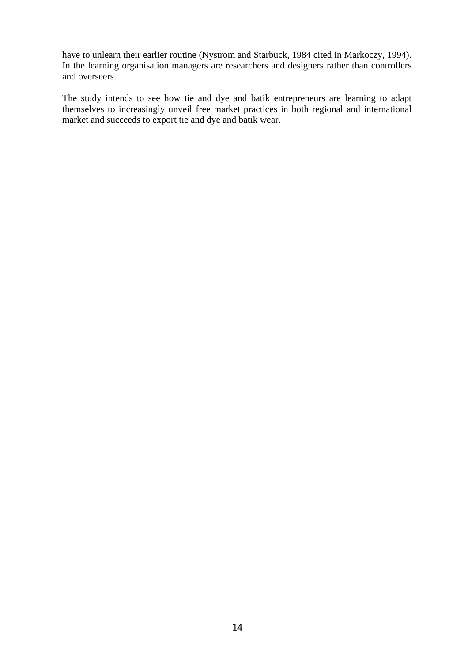have to unlearn their earlier routine (Nystrom and Starbuck, 1984 cited in Markoczy, 1994). In the learning organisation managers are researchers and designers rather than controllers and overseers.

The study intends to see how tie and dye and batik entrepreneurs are learning to adapt themselves to increasingly unveil free market practices in both regional and international market and succeeds to export tie and dye and batik wear.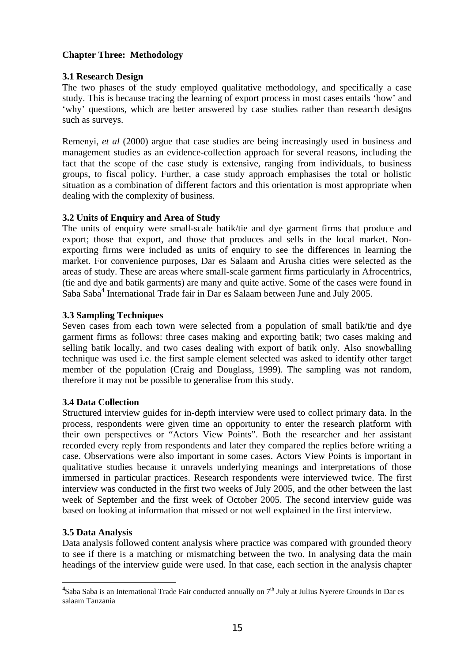## **Chapter Three: Methodology**

#### **3.1 Research Design**

The two phases of the study employed qualitative methodology, and specifically a case study. This is because tracing the learning of export process in most cases entails 'how' and 'why' questions, which are better answered by case studies rather than research designs such as surveys.

Remenyi, *et al* (2000) argue that case studies are being increasingly used in business and management studies as an evidence-collection approach for several reasons, including the fact that the scope of the case study is extensive, ranging from individuals, to business groups, to fiscal policy. Further, a case study approach emphasises the total or holistic situation as a combination of different factors and this orientation is most appropriate when dealing with the complexity of business.

## **3.2 Units of Enquiry and Area of Study**

The units of enquiry were small-scale batik/tie and dye garment firms that produce and export; those that export, and those that produces and sells in the local market. Nonexporting firms were included as units of enquiry to see the differences in learning the market. For convenience purposes, Dar es Salaam and Arusha cities were selected as the areas of study. These are areas where small-scale garment firms particularly in Afrocentrics, (tie and dye and batik garments) are many and quite active. Some of the cases were found in Saba Saba<sup>[4](#page-14-0)</sup> International Trade fair in Dar es Salaam between June and July 2005.

## **3.3 Sampling Techniques**

Seven cases from each town were selected from a population of small batik/tie and dye garment firms as follows: three cases making and exporting batik; two cases making and selling batik locally, and two cases dealing with export of batik only. Also snowballing technique was used i.e. the first sample element selected was asked to identify other target member of the population (Craig and Douglass, 1999). The sampling was not random, therefore it may not be possible to generalise from this study.

## **3.4 Data Collection**

Structured interview guides for in-depth interview were used to collect primary data. In the process, respondents were given time an opportunity to enter the research platform with their own perspectives or "Actors View Points". Both the researcher and her assistant recorded every reply from respondents and later they compared the replies before writing a case. Observations were also important in some cases. Actors View Points is important in qualitative studies because it unravels underlying meanings and interpretations of those immersed in particular practices. Research respondents were interviewed twice. The first interview was conducted in the first two weeks of July 2005, and the other between the last week of September and the first week of October 2005. The second interview guide was based on looking at information that missed or not well explained in the first interview.

## **3.5 Data Analysis**

l

Data analysis followed content analysis where practice was compared with grounded theory to see if there is a matching or mismatching between the two. In analysing data the main headings of the interview guide were used. In that case, each section in the analysis chapter

<span id="page-14-0"></span><sup>&</sup>lt;sup>4</sup>Saba Saba is an International Trade Fair conducted annually on 7<sup>th</sup> July at Julius Nyerere Grounds in Dar es salaam Tanzania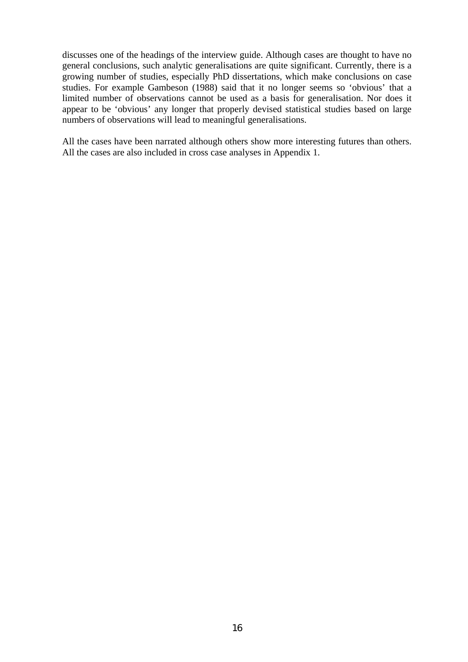discusses one of the headings of the interview guide. Although cases are thought to have no general conclusions, such analytic generalisations are quite significant. Currently, there is a growing number of studies, especially PhD dissertations, which make conclusions on case studies. For example Gambeson (1988) said that it no longer seems so 'obvious' that a limited number of observations cannot be used as a basis for generalisation. Nor does it appear to be 'obvious' any longer that properly devised statistical studies based on large numbers of observations will lead to meaningful generalisations.

All the cases have been narrated although others show more interesting futures than others. All the cases are also included in cross case analyses in Appendix 1.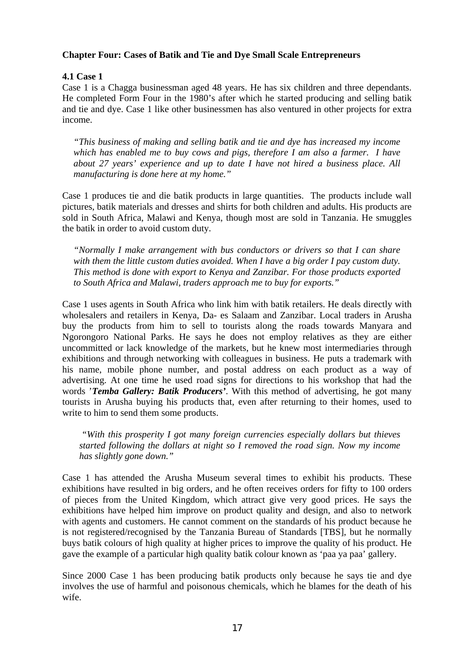## **Chapter Four: Cases of Batik and Tie and Dye Small Scale Entrepreneurs**

## **4.1 Case 1**

Case 1 is a Chagga businessman aged 48 years. He has six children and three dependants. He completed Form Four in the 1980's after which he started producing and selling batik and tie and dye. Case 1 like other businessmen has also ventured in other projects for extra income.

*"This business of making and selling batik and tie and dye has increased my income which has enabled me to buy cows and pigs, therefore I am also a farmer. I have about 27 years' experience and up to date I have not hired a business place. All manufacturing is done here at my home."*

Case 1 produces tie and die batik products in large quantities. The products include wall pictures, batik materials and dresses and shirts for both children and adults. His products are sold in South Africa, Malawi and Kenya, though most are sold in Tanzania. He smuggles the batik in order to avoid custom duty.

*"Normally I make arrangement with bus conductors or drivers so that I can share with them the little custom duties avoided. When I have a big order I pay custom duty. This method is done with export to Kenya and Zanzibar. For those products exported to South Africa and Malawi, traders approach me to buy for exports."*

Case 1 uses agents in South Africa who link him with batik retailers. He deals directly with wholesalers and retailers in Kenya, Da- es Salaam and Zanzibar. Local traders in Arusha buy the products from him to sell to tourists along the roads towards Manyara and Ngorongoro National Parks. He says he does not employ relatives as they are either uncommitted or lack knowledge of the markets, but he knew most intermediaries through exhibitions and through networking with colleagues in business. He puts a trademark with his name, mobile phone number, and postal address on each product as a way of advertising. At one time he used road signs for directions to his workshop that had the words '*Temba Gallery: Batik Producers'*. With this method of advertising, he got many tourists in Arusha buying his products that, even after returning to their homes, used to write to him to send them some products.

*"With this prosperity I got many foreign currencies especially dollars but thieves started following the dollars at night so I removed the road sign. Now my income has slightly gone down."* 

Case 1 has attended the Arusha Museum several times to exhibit his products. These exhibitions have resulted in big orders, and he often receives orders for fifty to 100 orders of pieces from the United Kingdom, which attract give very good prices. He says the exhibitions have helped him improve on product quality and design, and also to network with agents and customers. He cannot comment on the standards of his product because he is not registered/recognised by the Tanzania Bureau of Standards [TBS], but he normally buys batik colours of high quality at higher prices to improve the quality of his product. He gave the example of a particular high quality batik colour known as 'paa ya paa' gallery.

Since 2000 Case 1 has been producing batik products only because he says tie and dye involves the use of harmful and poisonous chemicals, which he blames for the death of his wife.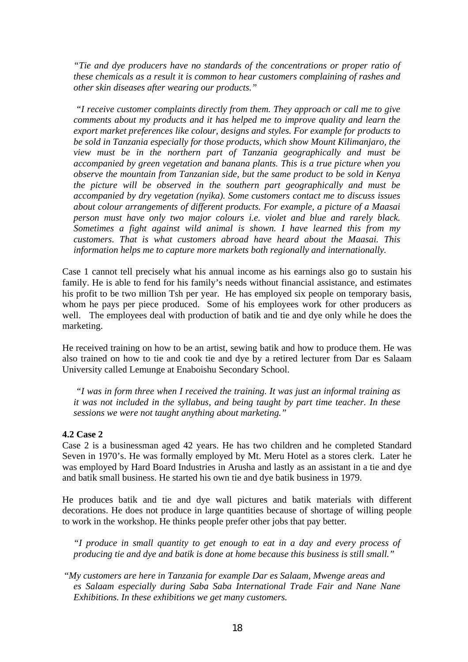*"Tie and dye producers have no standards of the concentrations or proper ratio of these chemicals as a result it is common to hear customers complaining of rashes and other skin diseases after wearing our products."* 

*"I receive customer complaints directly from them. They approach or call me to give comments about my products and it has helped me to improve quality and learn the export market preferences like colour, designs and styles. For example for products to be sold in Tanzania especially for those products, which show Mount Kilimanjaro, the view must be in the northern part of Tanzania geographically and must be accompanied by green vegetation and banana plants. This is a true picture when you observe the mountain from Tanzanian side, but the same product to be sold in Kenya the picture will be observed in the southern part geographically and must be accompanied by dry vegetation (nyika). Some customers contact me to discuss issues about colour arrangements of different products. For example, a picture of a Maasai person must have only two major colours i.e. violet and blue and rarely black. Sometimes a fight against wild animal is shown. I have learned this from my customers. That is what customers abroad have heard about the Maasai. This information helps me to capture more markets both regionally and internationally.* 

Case 1 cannot tell precisely what his annual income as his earnings also go to sustain his family. He is able to fend for his family's needs without financial assistance, and estimates his profit to be two million Tsh per year.He has employed six people on temporary basis, whom he pays per piece produced. Some of his employees work for other producers as well. The employees deal with production of batik and tie and dye only while he does the marketing.

He received training on how to be an artist, sewing batik and how to produce them. He was also trained on how to tie and cook tie and dye by a retired lecturer from Dar es Salaam University called Lemunge at Enaboishu Secondary School.

*"I was in form three when I received the training. It was just an informal training as it was not included in the syllabus, and being taught by part time teacher. In these sessions we were not taught anything about marketing."* 

#### **4.2 Case 2**

Case 2 is a businessman aged 42 years. He has two children and he completed Standard Seven in 1970's. He was formally employed by Mt. Meru Hotel as a stores clerk. Later he was employed by Hard Board Industries in Arusha and lastly as an assistant in a tie and dye and batik small business. He started his own tie and dye batik business in 1979.

He produces batik and tie and dye wall pictures and batik materials with different decorations. He does not produce in large quantities because of shortage of willing people to work in the workshop. He thinks people prefer other jobs that pay better.

*"I produce in small quantity to get enough to eat in a day and every process of producing tie and dye and batik is done at home because this business is still small."* 

 "*My customers are here in Tanzania for example Dar es Salaam, Mwenge areas and es Salaam especially during Saba Saba International Trade Fair and Nane Nane Exhibitions. In these exhibitions we get many customers.*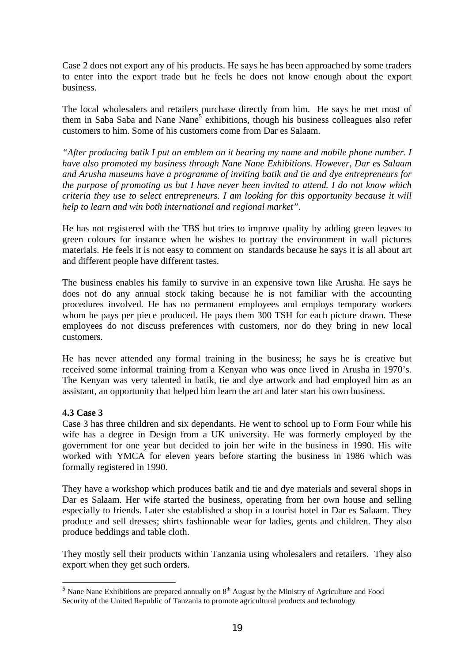Case 2 does not export any of his products. He says he has been approached by some traders to enter into the export trade but he feels he does not know enough about the export business.

The local wholesalers and retailers purchase directly from him. He says he met most of themin Saba Saba and Nane Nane<sup>5</sup> exhibitions, though his business colleagues also refer customers to him. Some of his customers come from Dar es Salaam.

*"After producing batik I put an emblem on it bearing my name and mobile phone number. I have also promoted my business through Nane Nane Exhibitions. However, Dar es Salaam and Arusha museums have a programme of inviting batik and tie and dye entrepreneurs for the purpose of promoting us but I have never been invited to attend. I do not know which criteria they use to select entrepreneurs. I am looking for this opportunity because it will help to learn and win both international and regional market".*

He has not registered with the TBS but tries to improve quality by adding green leaves to green colours for instance when he wishes to portray the environment in wall pictures materials. He feels it is not easy to comment on standards because he says it is all about art and different people have different tastes.

The business enables his family to survive in an expensive town like Arusha. He says he does not do any annual stock taking because he is not familiar with the accounting procedures involved. He has no permanent employees and employs temporary workers whom he pays per piece produced. He pays them 300 TSH for each picture drawn. These employees do not discuss preferences with customers, nor do they bring in new local customers.

He has never attended any formal training in the business; he says he is creative but received some informal training from a Kenyan who was once lived in Arusha in 1970's. The Kenyan was very talented in batik, tie and dye artwork and had employed him as an assistant, an opportunity that helped him learn the art and later start his own business.

## **4.3 Case 3**

l

Case 3 has three children and six dependants. He went to school up to Form Four while his wife has a degree in Design from a UK university. He was formerly employed by the government for one year but decided to join her wife in the business in 1990. His wife worked with YMCA for eleven years before starting the business in 1986 which was formally registered in 1990.

They have a workshop which produces batik and tie and dye materials and several shops in Dar es Salaam. Her wife started the business, operating from her own house and selling especially to friends. Later she established a shop in a tourist hotel in Dar es Salaam. They produce and sell dresses; shirts fashionable wear for ladies, gents and children. They also produce beddings and table cloth.

They mostly sell their products within Tanzania using wholesalers and retailers. They also export when they get such orders.

<span id="page-18-0"></span><sup>&</sup>lt;sup>5</sup> Nane Nane Exhibitions are prepared annually on  $8<sup>th</sup>$  August by the Ministry of Agriculture and Food Security of the United Republic of Tanzania to promote agricultural products and technology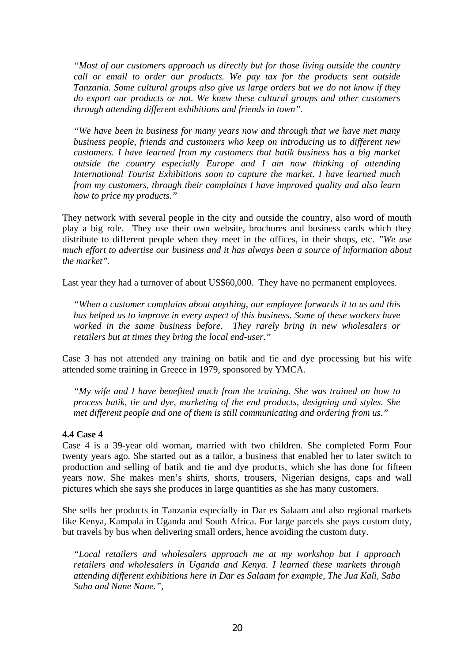*"Most of our customers approach us directly but for those living outside the country call or email to order our products. We pay tax for the products sent outside Tanzania. Some cultural groups also give us large orders but we do not know if they do export our products or not. We knew these cultural groups and other customers through attending different exhibitions and friends in town".*

*"We have been in business for many years now and through that we have met many business people, friends and customers who keep on introducing us to different new customers. I have learned from my customers that batik business has a big market outside the country especially Europe and I am now thinking of attending International Tourist Exhibitions soon to capture the market. I have learned much from my customers, through their complaints I have improved quality and also learn how to price my products."*

They network with several people in the city and outside the country, also word of mouth play a big role. They use their own website, brochures and business cards which they distribute to different people when they meet in the offices, in their shops, etc. *"We use much effort to advertise our business and it has always been a source of information about the market".*

Last year they had a turnover of about US\$60,000. They have no permanent employees.

*"When a customer complains about anything, our employee forwards it to us and this has helped us to improve in every aspect of this business. Some of these workers have worked in the same business before. They rarely bring in new wholesalers or retailers but at times they bring the local end-user."* 

Case 3 has not attended any training on batik and tie and dye processing but his wife attended some training in Greece in 1979, sponsored by YMCA.

*"My wife and I have benefited much from the training. She was trained on how to process batik, tie and dye, marketing of the end products, designing and styles. She met different people and one of them is still communicating and ordering from us."*

#### **4.4 Case 4**

Case 4 is a 39-year old woman, married with two children. She completed Form Four twenty years ago. She started out as a tailor, a business that enabled her to later switch to production and selling of batik and tie and dye products, which she has done for fifteen years now. She makes men's shirts, shorts, trousers, Nigerian designs, caps and wall pictures which she says she produces in large quantities as she has many customers.

She sells her products in Tanzania especially in Dar es Salaam and also regional markets like Kenya, Kampala in Uganda and South Africa. For large parcels she pays custom duty, but travels by bus when delivering small orders, hence avoiding the custom duty.

*"Local retailers and wholesalers approach me at my workshop but I approach retailers and wholesalers in Uganda and Kenya. I learned these markets through attending different exhibitions here in Dar es Salaam for example, The Jua Kali, Saba Saba and Nane Nane.",*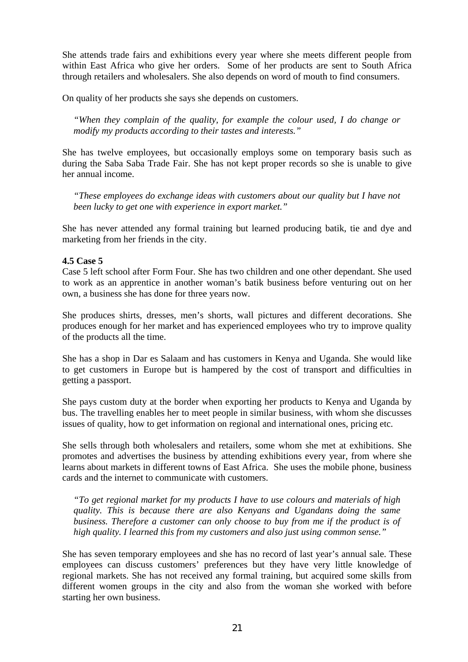She attends trade fairs and exhibitions every year where she meets different people from within East Africa who give her orders. Some of her products are sent to South Africa through retailers and wholesalers. She also depends on word of mouth to find consumers.

On quality of her products she says she depends on customers.

*"When they complain of the quality, for example the colour used, I do change or modify my products according to their tastes and interests."*

She has twelve employees, but occasionally employs some on temporary basis such as during the Saba Saba Trade Fair. She has not kept proper records so she is unable to give her annual income.

*"These employees do exchange ideas with customers about our quality but I have not been lucky to get one with experience in export market."*

She has never attended any formal training but learned producing batik, tie and dye and marketing from her friends in the city.

#### **4.5 Case 5**

Case 5 left school after Form Four. She has two children and one other dependant. She used to work as an apprentice in another woman's batik business before venturing out on her own, a business she has done for three years now.

She produces shirts, dresses, men's shorts, wall pictures and different decorations. She produces enough for her market and has experienced employees who try to improve quality of the products all the time.

She has a shop in Dar es Salaam and has customers in Kenya and Uganda. She would like to get customers in Europe but is hampered by the cost of transport and difficulties in getting a passport.

She pays custom duty at the border when exporting her products to Kenya and Uganda by bus. The travelling enables her to meet people in similar business, with whom she discusses issues of quality, how to get information on regional and international ones, pricing etc.

She sells through both wholesalers and retailers, some whom she met at exhibitions. She promotes and advertises the business by attending exhibitions every year, from where she learns about markets in different towns of East Africa. She uses the mobile phone, business cards and the internet to communicate with customers.

*"To get regional market for my products I have to use colours and materials of high quality. This is because there are also Kenyans and Ugandans doing the same business. Therefore a customer can only choose to buy from me if the product is of high quality. I learned this from my customers and also just using common sense."*

She has seven temporary employees and she has no record of last year's annual sale. These employees can discuss customers' preferences but they have very little knowledge of regional markets. She has not received any formal training, but acquired some skills from different women groups in the city and also from the woman she worked with before starting her own business.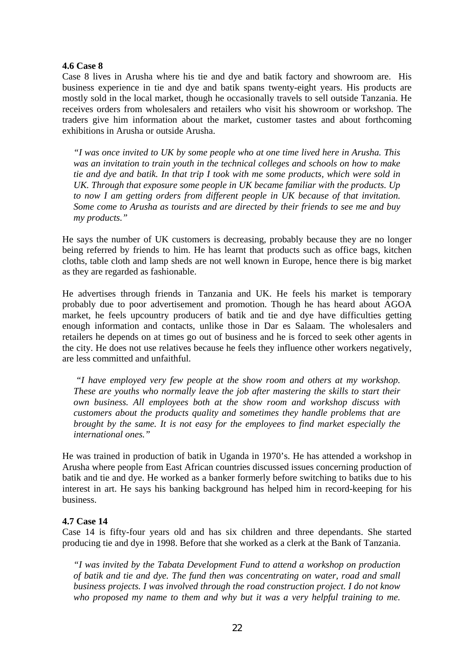#### **4.6 Case 8**

Case 8 lives in Arusha where his tie and dye and batik factory and showroom are. His business experience in tie and dye and batik spans twenty-eight years. His products are mostly sold in the local market, though he occasionally travels to sell outside Tanzania. He receives orders from wholesalers and retailers who visit his showroom or workshop. The traders give him information about the market, customer tastes and about forthcoming exhibitions in Arusha or outside Arusha.

*"I was once invited to UK by some people who at one time lived here in Arusha. This was an invitation to train youth in the technical colleges and schools on how to make tie and dye and batik. In that trip I took with me some products, which were sold in UK. Through that exposure some people in UK became familiar with the products. Up to now I am getting orders from different people in UK because of that invitation. Some come to Arusha as tourists and are directed by their friends to see me and buy my products."* 

He says the number of UK customers is decreasing, probably because they are no longer being referred by friends to him. He has learnt that products such as office bags, kitchen cloths, table cloth and lamp sheds are not well known in Europe, hence there is big market as they are regarded as fashionable.

He advertises through friends in Tanzania and UK. He feels his market is temporary probably due to poor advertisement and promotion. Though he has heard about AGOA market, he feels upcountry producers of batik and tie and dye have difficulties getting enough information and contacts, unlike those in Dar es Salaam. The wholesalers and retailers he depends on at times go out of business and he is forced to seek other agents in the city. He does not use relatives because he feels they influence other workers negatively, are less committed and unfaithful.

*"I have employed very few people at the show room and others at my workshop. These are youths who normally leave the job after mastering the skills to start their own business. All employees both at the show room and workshop discuss with customers about the products quality and sometimes they handle problems that are brought by the same. It is not easy for the employees to find market especially the international ones."* 

He was trained in production of batik in Uganda in 1970's. He has attended a workshop in Arusha where people from East African countries discussed issues concerning production of batik and tie and dye. He worked as a banker formerly before switching to batiks due to his interest in art. He says his banking background has helped him in record-keeping for his business.

#### **4.7 Case 14**

Case 14 is fifty-four years old and has six children and three dependants. She started producing tie and dye in 1998. Before that she worked as a clerk at the Bank of Tanzania.

*"I was invited by the Tabata Development Fund to attend a workshop on production of batik and tie and dye. The fund then was concentrating on water, road and small business projects. I was involved through the road construction project. I do not know who proposed my name to them and why but it was a very helpful training to me.*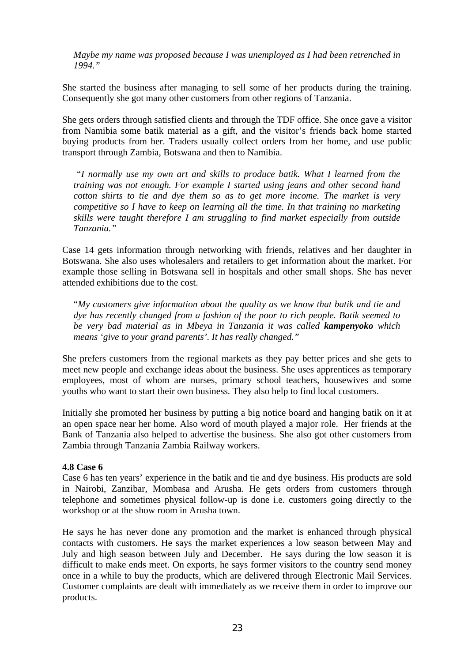*Maybe my name was proposed because I was unemployed as I had been retrenched in 1994."*

She started the business after managing to sell some of her products during the training. Consequently she got many other customers from other regions of Tanzania.

She gets orders through satisfied clients and through the TDF office. She once gave a visitor from Namibia some batik material as a gift, and the visitor's friends back home started buying products from her. Traders usually collect orders from her home, and use public transport through Zambia, Botswana and then to Namibia.

*"I normally use my own art and skills to produce batik. What I learned from the training was not enough. For example I started using jeans and other second hand cotton shirts to tie and dye them so as to get more income. The market is very competitive so I have to keep on learning all the time. In that training no marketing skills were taught therefore I am struggling to find market especially from outside Tanzania."* 

Case 14 gets information through networking with friends, relatives and her daughter in Botswana. She also uses wholesalers and retailers to get information about the market. For example those selling in Botswana sell in hospitals and other small shops. She has never attended exhibitions due to the cost.

"*My customers give information about the quality as we know that batik and tie and dye has recently changed from a fashion of the poor to rich people. Batik seemed to be very bad material as in Mbeya in Tanzania it was called kampenyoko which means 'give to your grand parents'. It has really changed."*

She prefers customers from the regional markets as they pay better prices and she gets to meet new people and exchange ideas about the business. She uses apprentices as temporary employees, most of whom are nurses, primary school teachers, housewives and some youths who want to start their own business. They also help to find local customers.

Initially she promoted her business by putting a big notice board and hanging batik on it at an open space near her home. Also word of mouth played a major role. Her friends at the Bank of Tanzania also helped to advertise the business. She also got other customers from Zambia through Tanzania Zambia Railway workers.

#### **4.8 Case 6**

Case 6 has ten years' experience in the batik and tie and dye business. His products are sold in Nairobi, Zanzibar, Mombasa and Arusha. He gets orders from customers through telephone and sometimes physical follow-up is done i.e. customers going directly to the workshop or at the show room in Arusha town.

He says he has never done any promotion and the market is enhanced through physical contacts with customers. He says the market experiences a low season between May and July and high season between July and December. He says during the low season it is difficult to make ends meet. On exports, he says former visitors to the country send money once in a while to buy the products, which are delivered through Electronic Mail Services. Customer complaints are dealt with immediately as we receive them in order to improve our products.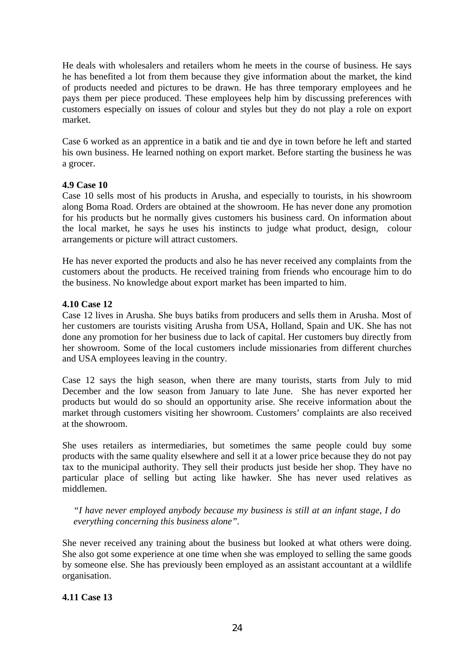He deals with wholesalers and retailers whom he meets in the course of business. He says he has benefited a lot from them because they give information about the market, the kind of products needed and pictures to be drawn. He has three temporary employees and he pays them per piece produced. These employees help him by discussing preferences with customers especially on issues of colour and styles but they do not play a role on export market.

Case 6 worked as an apprentice in a batik and tie and dye in town before he left and started his own business. He learned nothing on export market. Before starting the business he was a grocer.

#### **4.9 Case 10**

Case 10 sells most of his products in Arusha, and especially to tourists, in his showroom along Boma Road. Orders are obtained at the showroom. He has never done any promotion for his products but he normally gives customers his business card. On information about the local market, he says he uses his instincts to judge what product, design, colour arrangements or picture will attract customers.

He has never exported the products and also he has never received any complaints from the customers about the products. He received training from friends who encourage him to do the business. No knowledge about export market has been imparted to him.

## **4.10 Case 12**

Case 12 lives in Arusha. She buys batiks from producers and sells them in Arusha. Most of her customers are tourists visiting Arusha from USA, Holland, Spain and UK. She has not done any promotion for her business due to lack of capital. Her customers buy directly from her showroom. Some of the local customers include missionaries from different churches and USA employees leaving in the country.

Case 12 says the high season, when there are many tourists, starts from July to mid December and the low season from January to late June. She has never exported her products but would do so should an opportunity arise. She receive information about the market through customers visiting her showroom. Customers' complaints are also received at the showroom.

She uses retailers as intermediaries, but sometimes the same people could buy some products with the same quality elsewhere and sell it at a lower price because they do not pay tax to the municipal authority. They sell their products just beside her shop. They have no particular place of selling but acting like hawker. She has never used relatives as middlemen.

*"I have never employed anybody because my business is still at an infant stage, I do everything concerning this business alone".* 

She never received any training about the business but looked at what others were doing. She also got some experience at one time when she was employed to selling the same goods by someone else. She has previously been employed as an assistant accountant at a wildlife organisation.

## **4.11 Case 13**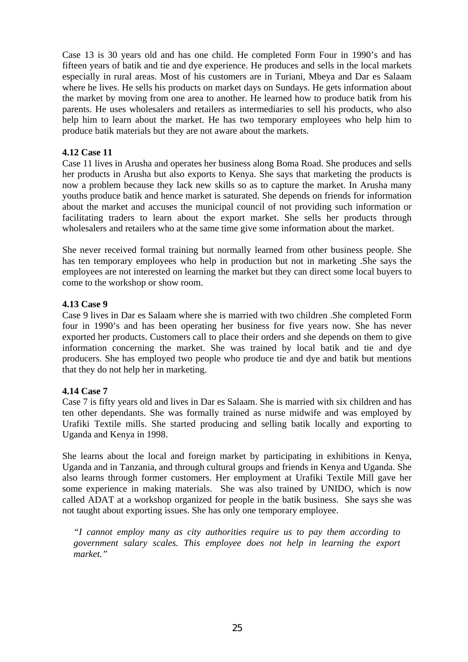Case 13 is 30 years old and has one child. He completed Form Four in 1990's and has fifteen years of batik and tie and dye experience. He produces and sells in the local markets especially in rural areas. Most of his customers are in Turiani, Mbeya and Dar es Salaam where he lives. He sells his products on market days on Sundays. He gets information about the market by moving from one area to another. He learned how to produce batik from his parents. He uses wholesalers and retailers as intermediaries to sell his products, who also help him to learn about the market. He has two temporary employees who help him to produce batik materials but they are not aware about the markets.

## **4.12 Case 11**

Case 11 lives in Arusha and operates her business along Boma Road. She produces and sells her products in Arusha but also exports to Kenya. She says that marketing the products is now a problem because they lack new skills so as to capture the market. In Arusha many youths produce batik and hence market is saturated. She depends on friends for information about the market and accuses the municipal council of not providing such information or facilitating traders to learn about the export market. She sells her products through wholesalers and retailers who at the same time give some information about the market.

She never received formal training but normally learned from other business people. She has ten temporary employees who help in production but not in marketing .She says the employees are not interested on learning the market but they can direct some local buyers to come to the workshop or show room.

#### **4.13 Case 9**

Case 9 lives in Dar es Salaam where she is married with two children .She completed Form four in 1990's and has been operating her business for five years now. She has never exported her products. Customers call to place their orders and she depends on them to give information concerning the market. She was trained by local batik and tie and dye producers. She has employed two people who produce tie and dye and batik but mentions that they do not help her in marketing.

#### **4.14 Case 7**

Case 7 is fifty years old and lives in Dar es Salaam. She is married with six children and has ten other dependants. She was formally trained as nurse midwife and was employed by Urafiki Textile mills. She started producing and selling batik locally and exporting to Uganda and Kenya in 1998.

She learns about the local and foreign market by participating in exhibitions in Kenya, Uganda and in Tanzania, and through cultural groups and friends in Kenya and Uganda. She also learns through former customers. Her employment at Urafiki Textile Mill gave her some experience in making materials. She was also trained by UNIDO, which is now called ADAT at a workshop organized for people in the batik business. She says she was not taught about exporting issues. She has only one temporary employee.

*"I cannot employ many as city authorities require us to pay them according to government salary scales. This employee does not help in learning the export market."*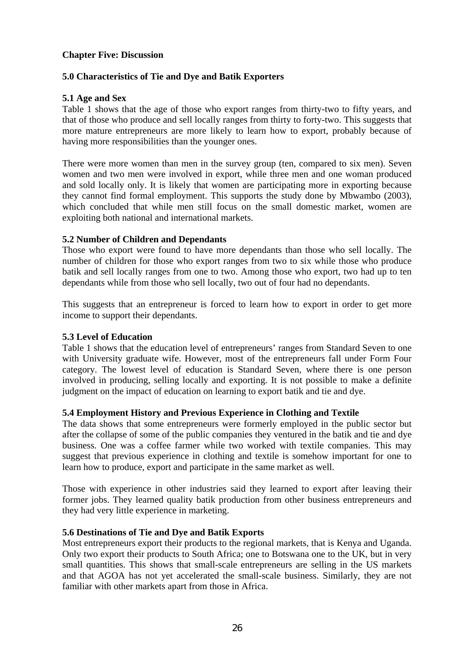#### **Chapter Five: Discussion**

## **5.0 Characteristics of Tie and Dye and Batik Exporters**

#### **5.1 Age and Sex**

Table 1 shows that the age of those who export ranges from thirty-two to fifty years, and that of those who produce and sell locally ranges from thirty to forty-two. This suggests that more mature entrepreneurs are more likely to learn how to export, probably because of having more responsibilities than the younger ones.

There were more women than men in the survey group (ten, compared to six men). Seven women and two men were involved in export, while three men and one woman produced and sold locally only. It is likely that women are participating more in exporting because they cannot find formal employment. This supports the study done by Mbwambo (2003), which concluded that while men still focus on the small domestic market, women are exploiting both national and international markets.

## **5.2 Number of Children and Dependants**

Those who export were found to have more dependants than those who sell locally. The number of children for those who export ranges from two to six while those who produce batik and sell locally ranges from one to two. Among those who export, two had up to ten dependants while from those who sell locally, two out of four had no dependants.

This suggests that an entrepreneur is forced to learn how to export in order to get more income to support their dependants.

#### **5.3 Level of Education**

Table 1 shows that the education level of entrepreneurs' ranges from Standard Seven to one with University graduate wife. However, most of the entrepreneurs fall under Form Four category. The lowest level of education is Standard Seven, where there is one person involved in producing, selling locally and exporting. It is not possible to make a definite judgment on the impact of education on learning to export batik and tie and dye.

#### **5.4 Employment History and Previous Experience in Clothing and Textile**

The data shows that some entrepreneurs were formerly employed in the public sector but after the collapse of some of the public companies they ventured in the batik and tie and dye business. One was a coffee farmer while two worked with textile companies. This may suggest that previous experience in clothing and textile is somehow important for one to learn how to produce, export and participate in the same market as well.

Those with experience in other industries said they learned to export after leaving their former jobs. They learned quality batik production from other business entrepreneurs and they had very little experience in marketing.

#### **5.6 Destinations of Tie and Dye and Batik Exports**

Most entrepreneurs export their products to the regional markets, that is Kenya and Uganda. Only two export their products to South Africa; one to Botswana one to the UK, but in very small quantities. This shows that small-scale entrepreneurs are selling in the US markets and that AGOA has not yet accelerated the small-scale business. Similarly, they are not familiar with other markets apart from those in Africa.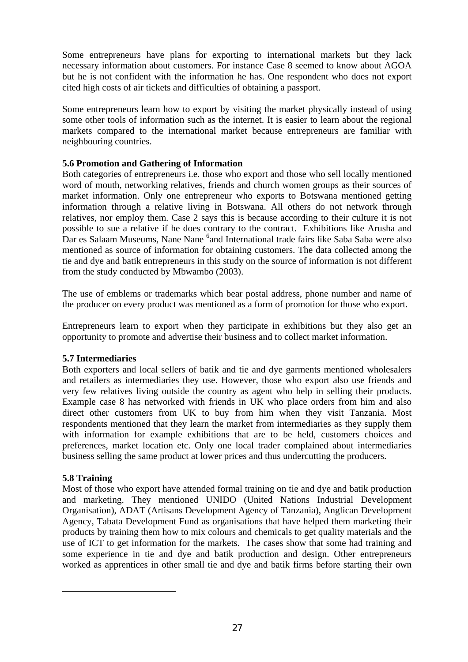Some entrepreneurs have plans for exporting to international markets but they lack necessary information about customers. For instance Case 8 seemed to know about AGOA but he is not confident with the information he has. One respondent who does not export cited high costs of air tickets and difficulties of obtaining a passport.

Some entrepreneurs learn how to export by visiting the market physically instead of using some other tools of information such as the internet. It is easier to learn about the regional markets compared to the international market because entrepreneurs are familiar with neighbouring countries.

## **5.6 Promotion and Gathering of Information**

Both categories of entrepreneurs i.e. those who export and those who sell locally mentioned word of mouth, networking relatives, friends and church women groups as their sources of market information. Only one entrepreneur who exports to Botswana mentioned getting information through a relative living in Botswana. All others do not network through relatives, nor employ them. Case 2 says this is because according to their culture it is not possible to sue a relative if he does contrary to the contract. Exhibitions like Arusha and Dar es Salaam Museums, Nane Nane <sup>[6](#page-26-0)</sup>and International trade fairs like Saba Saba were also mentioned as source of information for obtaining customers. The data collected among the tie and dye and batik entrepreneurs in this study on the source of information is not different from the study conducted by Mbwambo (2003).

The use of emblems or trademarks which bear postal address, phone number and name of the producer on every product was mentioned as a form of promotion for those who export.

Entrepreneurs learn to export when they participate in exhibitions but they also get an opportunity to promote and advertise their business and to collect market information.

## **5.7 Intermediaries**

Both exporters and local sellers of batik and tie and dye garments mentioned wholesalers and retailers as intermediaries they use. However, those who export also use friends and very few relatives living outside the country as agent who help in selling their products. Example case 8 has networked with friends in UK who place orders from him and also direct other customers from UK to buy from him when they visit Tanzania. Most respondents mentioned that they learn the market from intermediaries as they supply them with information for example exhibitions that are to be held, customers choices and preferences, market location etc. Only one local trader complained about intermediaries business selling the same product at lower prices and thus undercutting the producers.

## **5.8 Training**

<span id="page-26-0"></span>l

Most of those who export have attended formal training on tie and dye and batik production and marketing. They mentioned UNIDO (United Nations Industrial Development Organisation), ADAT (Artisans Development Agency of Tanzania), Anglican Development Agency, Tabata Development Fund as organisations that have helped them marketing their products by training them how to mix colours and chemicals to get quality materials and the use of ICT to get information for the markets. The cases show that some had training and some experience in tie and dye and batik production and design. Other entrepreneurs worked as apprentices in other small tie and dye and batik firms before starting their own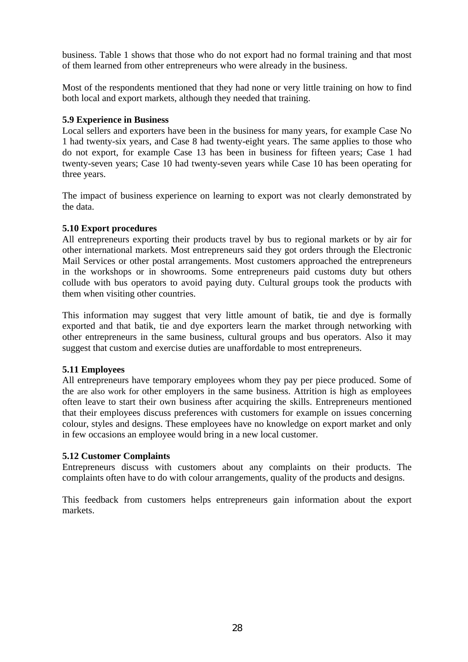business. Table 1 shows that those who do not export had no formal training and that most of them learned from other entrepreneurs who were already in the business.

Most of the respondents mentioned that they had none or very little training on how to find both local and export markets, although they needed that training.

## **5.9 Experience in Business**

Local sellers and exporters have been in the business for many years, for example Case No 1 had twenty-six years, and Case 8 had twenty-eight years. The same applies to those who do not export, for example Case 13 has been in business for fifteen years; Case 1 had twenty-seven years; Case 10 had twenty-seven years while Case 10 has been operating for three years.

The impact of business experience on learning to export was not clearly demonstrated by the data.

## **5.10 Export procedures**

All entrepreneurs exporting their products travel by bus to regional markets or by air for other international markets. Most entrepreneurs said they got orders through the Electronic Mail Services or other postal arrangements. Most customers approached the entrepreneurs in the workshops or in showrooms. Some entrepreneurs paid customs duty but others collude with bus operators to avoid paying duty. Cultural groups took the products with them when visiting other countries.

This information may suggest that very little amount of batik, tie and dye is formally exported and that batik, tie and dye exporters learn the market through networking with other entrepreneurs in the same business, cultural groups and bus operators. Also it may suggest that custom and exercise duties are unaffordable to most entrepreneurs.

#### **5.11 Employees**

All entrepreneurs have temporary employees whom they pay per piece produced. Some of the are also work for other employers in the same business. Attrition is high as employees often leave to start their own business after acquiring the skills. Entrepreneurs mentioned that their employees discuss preferences with customers for example on issues concerning colour, styles and designs. These employees have no knowledge on export market and only in few occasions an employee would bring in a new local customer.

## **5.12 Customer Complaints**

Entrepreneurs discuss with customers about any complaints on their products. The complaints often have to do with colour arrangements, quality of the products and designs.

This feedback from customers helps entrepreneurs gain information about the export markets.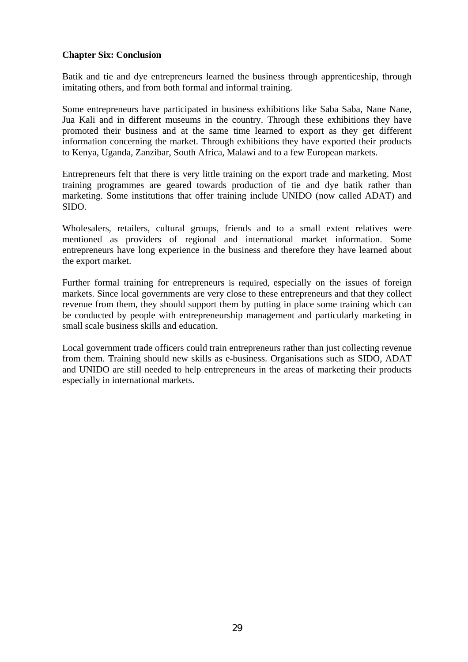#### **Chapter Six: Conclusion**

Batik and tie and dye entrepreneurs learned the business through apprenticeship, through imitating others, and from both formal and informal training.

Some entrepreneurs have participated in business exhibitions like Saba Saba, Nane Nane, Jua Kali and in different museums in the country. Through these exhibitions they have promoted their business and at the same time learned to export as they get different information concerning the market. Through exhibitions they have exported their products to Kenya, Uganda, Zanzibar, South Africa, Malawi and to a few European markets.

Entrepreneurs felt that there is very little training on the export trade and marketing. Most training programmes are geared towards production of tie and dye batik rather than marketing. Some institutions that offer training include UNIDO (now called ADAT) and SIDO.

Wholesalers, retailers, cultural groups, friends and to a small extent relatives were mentioned as providers of regional and international market information. Some entrepreneurs have long experience in the business and therefore they have learned about the export market.

Further formal training for entrepreneurs is required, especially on the issues of foreign markets. Since local governments are very close to these entrepreneurs and that they collect revenue from them, they should support them by putting in place some training which can be conducted by people with entrepreneurship management and particularly marketing in small scale business skills and education.

Local government trade officers could train entrepreneurs rather than just collecting revenue from them. Training should new skills as e-business. Organisations such as SIDO, ADAT and UNIDO are still needed to help entrepreneurs in the areas of marketing their products especially in international markets.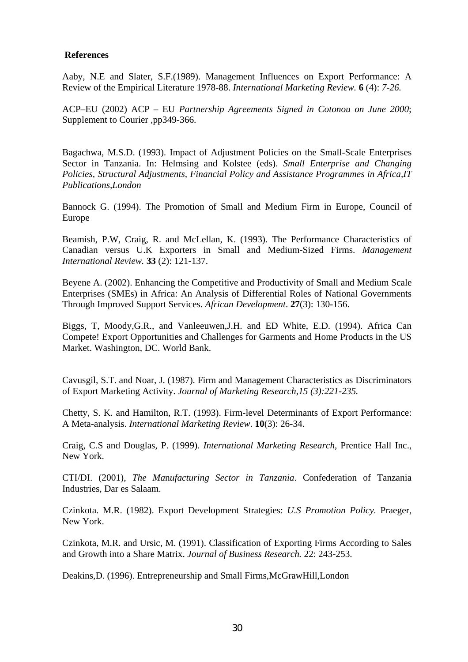#### **References**

Aaby, N.E and Slater, S.F.(1989). Management Influences on Export Performance: A Review of the Empirical Literature 1978-88. *International Marketing Review.* **6** (4): *7-26.* 

ACP–EU (2002) ACP – EU *Partnership Agreements Signed in Cotonou on June 2000*; Supplement to Courier ,pp349-366.

Bagachwa, M.S.D. (1993). Impact of Adjustment Policies on the Small-Scale Enterprises Sector in Tanzania. In: Helmsing and Kolstee (eds). *Small Enterprise and Changing Policies, Structural Adjustments, Financial Policy and Assistance Programmes in Africa,IT Publications,London* 

Bannock G. (1994). The Promotion of Small and Medium Firm in Europe, Council of Europe

Beamish, P.W, Craig, R. and McLellan, K. (1993). The Performance Characteristics of Canadian versus U.K Exporters in Small and Medium-Sized Firms. *Management International Review.* **33** (2): 121-137.

Beyene A. (2002). Enhancing the Competitive and Productivity of Small and Medium Scale Enterprises (SMEs) in Africa: An Analysis of Differential Roles of National Governments Through Improved Support Services. *African Development*. **27**(3): 130-156.

Biggs, T, Moody,G.R., and Vanleeuwen,J.H. and ED White, E.D. (1994). Africa Can Compete! Export Opportunities and Challenges for Garments and Home Products in the US Market. Washington, DC. World Bank.

Cavusgil, S.T. and Noar, J. (1987). Firm and Management Characteristics as Discriminators of Export Marketing Activity. *Journal of Marketing Research,15 (3):221-235.*

Chetty, S. K. and Hamilton, R.T. (1993). Firm-level Determinants of Export Performance: A Meta-analysis. *International Marketing Review*. **10**(3): 26-34.

Craig, C.S and Douglas, P. (1999). *International Marketing Research*, Prentice Hall Inc., New York.

CTI/DI. (2001), *The Ma*n*ufacturing Sector in Tanzania*. Confederation of Tanzania Industries, Dar es Salaam.

Czinkota. M.R. (1982). Export Development Strategies: *U.S Promotion Policy.* Praeger, New York.

Czinkota, M.R. and Ursic, M. (1991). Classification of Exporting Firms According to Sales and Growth into a Share Matrix. *Journal of Business Research.* 22: 243-253.

Deakins,D. (1996). Entrepreneurship and Small Firms,McGrawHill,London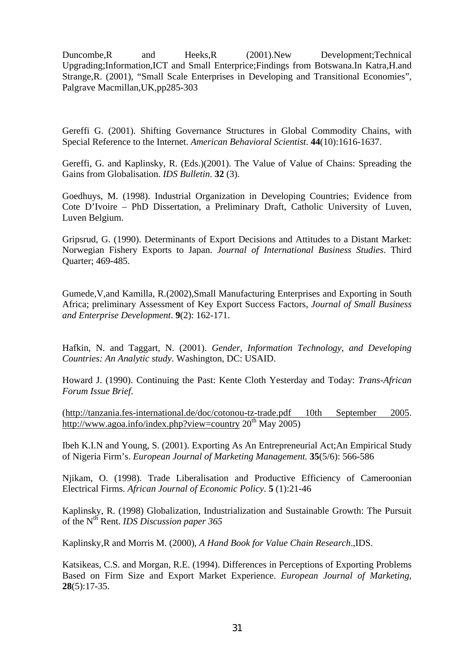Duncombe,R and Heeks,R (2001).New Development;Technical Upgrading;Information,ICT and Small Enterprice;Findings from Botswana.In Katra,H.and Strange,R. (2001), "Small Scale Enterprises in Developing and Transitional Economies", Palgrave Macmillan,UK,pp285-303

Gereffi G. (2001). Shifting Governance Structures in Global Commodity Chains, with Special Reference to the Internet. *American Behavioral Scientist*. **44**(10):1616-1637.

Gereffi, G. and Kaplinsky, R. (Eds.)(2001). The Value of Value of Chains: Spreading the Gains from Globalisation. *IDS Bulletin*. **32** (3).

Goedhuys, M. (1998). Industrial Organization in Developing Countries; Evidence from Cote D'Ivoire – PhD Dissertation, a Preliminary Draft, Catholic University of Luven, Luven Belgium.

Gripsrud, G. (1990). Determinants of Export Decisions and Attitudes to a Distant Market: Norwegian Fishery Exports to Japan. *Journal of International Business Studies*. Third Quarter; 469-485.

Gumede,V,and Kamilla, R.(2002),Small Manufacturing Enterprises and Exporting in South Africa; preliminary Assessment of Key Export Success Factors, *Journal of Small Business and Enterprise Development*. **9**(2): 162-171.

Hafkin, N. and Taggart, N. (2001). *Gender, Information Technology, and Developing Countries: An Analytic study*. Washington, DC: USAID.

Howard J. (1990). Continuing the Past: Kente Cloth Yesterday and Today: *Trans-African Forum Issue Brief*.

[\(http://tanzania.fes-international.de/doc/cotonou-tz-trade.pdf 10th September 2005](http://tanzania.fes-international.de/doc/cotonou-tz-trade.pdf 10th September 2005). <http://www.agoa.info/index.php?view=country> $20<sup>th</sup>$  May 2005)

Ibeh K.I.N and Young, S. (2001). Exporting As An Entrepreneurial Act;An Empirical Study of Nigeria Firm's. *European Journal of Marketing Management.* **35**(5/6): 566-586

Njikam, O. (1998). Trade Liberalisation and Productive Efficiency of Cameroonian Electrical Firms. *African Journal of Economic Policy.* **5** (1):21-46

Kaplinsky, R. (1998) Globalization, Industrialization and Sustainable Growth: The Pursuit of the Nth Rent. *IDS Discussion paper 365* 

Kaplinsky,R and Morris M. (2000), *A Hand Book for Value Chain Research*.,IDS.

Katsikeas, C.S. and Morgan, R.E. (1994). Differences in Perceptions of Exporting Problems Based on Firm Size and Export Market Experience. *European Journal of Marketing,* **28**(5):17-35.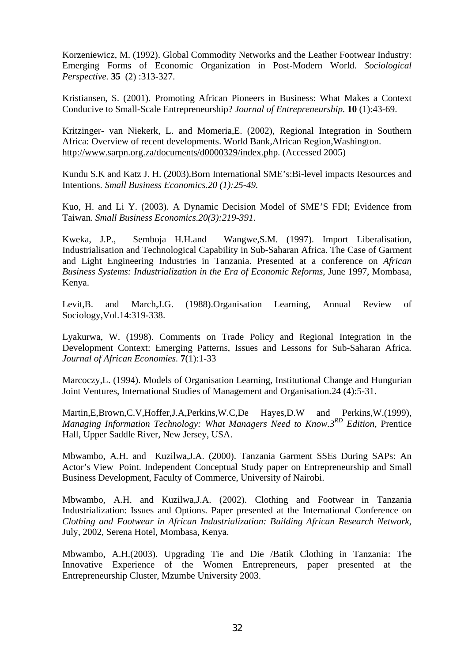Korzeniewicz, M. (1992). Global Commodity Networks and the Leather Footwear Industry: Emerging Forms of Economic Organization in Post-Modern World. *Sociological Perspective.* **35** (2) :313-327.

Kristiansen, S. (2001). Promoting African Pioneers in Business: What Makes a Context Conducive to Small-Scale Entrepreneurship? *Journal of Entrepreneurship.* **10** (1):43-69.

Kritzinger- van Niekerk, L. and Momeria,E. (2002), Regional Integration in Southern Africa: Overview of recent developments. World Bank,African Region,Washington. <http://www.sarpn.org.za/documents/d0000329/index.php>. (Accessed 2005)

Kundu S.K and Katz J. H. (2003).Born International SME's:Bi-level impacts Resources and Intentions. *Small Business Economics.20 (1):25-49.*

Kuo, H. and Li Y. (2003). A Dynamic Decision Model of SME'S FDI; Evidence from Taiwan. *Small Business Economics.20(3):219-391*.

Kweka, J.P., Semboja H.H.and Wangwe,S.M. (1997). Import Liberalisation, Industrialisation and Technological Capability in Sub-Saharan Africa. The Case of Garment and Light Engineering Industries in Tanzania. Presented at a conference on *African Business Systems: Industrialization in the Era of Economic Reforms*, June 1997, Mombasa, Kenya.

Levit,B. and March,J.G. (1988).Organisation Learning, Annual Review of Sociology,Vol.14:319-338.

Lyakurwa, W. (1998). Comments on Trade Policy and Regional Integration in the Development Context: Emerging Patterns, Issues and Lessons for Sub-Saharan Africa*. Journal of African Economies.* **7**(1):1-33

Marcoczy,L. (1994). Models of Organisation Learning, Institutional Change and Hungurian Joint Ventures, International Studies of Management and Organisation.24 (4):5-31.

Martin,E,Brown,C.V,Hoffer,J.A,Perkins,W.C,De Hayes,D.W and Perkins,W.(1999), *Managing Information Technology: What Managers Need to Know.3RD Edition,* Prentice Hall, Upper Saddle River, New Jersey, USA.

Mbwambo, A.H. and Kuzilwa,J.A. (2000). Tanzania Garment SSEs During SAPs: An Actor's View Point. Independent Conceptual Study paper on Entrepreneurship and Small Business Development, Faculty of Commerce, University of Nairobi.

Mbwambo, A.H. and Kuzilwa,J.A. (2002). Clothing and Footwear in Tanzania Industrialization: Issues and Options. Paper presented at the International Conference on *Clothing and Footwear in African Industrialization: Building African Research Network*, July, 2002, Serena Hotel, Mombasa, Kenya.

Mbwambo, A.H.(2003). Upgrading Tie and Die /Batik Clothing in Tanzania: The Innovative Experience of the Women Entrepreneurs, paper presented at the Entrepreneurship Cluster, Mzumbe University 2003.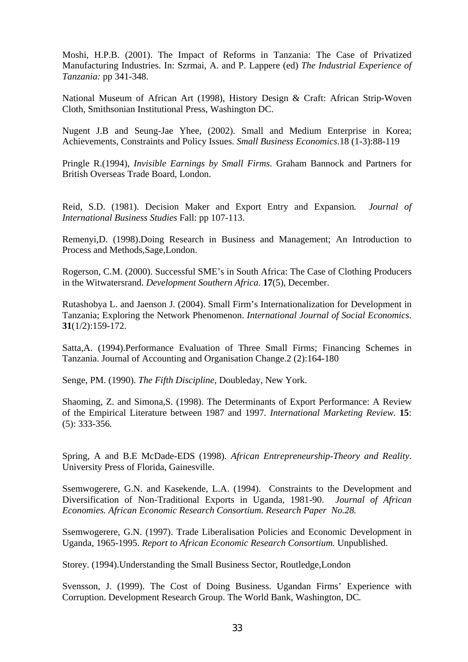Moshi, H.P.B. (2001). The Impact of Reforms in Tanzania: The Case of Privatized Manufacturing Industries. In: Szrmai, A. and P. Lappere (ed) *The Industrial Experience of Tanzania:* pp 341-348.

National Museum of African Art (1998), History Design & Craft: African Strip-Woven Cloth, Smithsonian Institutional Press, Washington DC.

Nugent J.B and Seung-Jae Yhee, (2002). Small and Medium Enterprise in Korea; Achievements, Constraints and Policy Issues. *Small Business Economics*.18 (1-3):88-119

Pringle R.(1994), *Invisible Earnings by Small Firms.* Graham Bannock and Partners for British Overseas Trade Board, London.

Reid, S.D. (1981). Decision Maker and Export Entry and Expansion*. Journal of International Business Studies* Fall: pp 107-113.

Remenyi,D. (1998).Doing Research in Business and Management; An Introduction to Process and Methods,Sage,London.

Rogerson, C.M. (2000). Successful SME's in South Africa: The Case of Clothing Producers in the Witwatersrand. *Development Southern Africa*. **17**(5), December.

Rutashobya L. and Jaenson J. (2004). Small Firm's Internationalization for Development in Tanzania; Exploring the Network Phenomenon. *International Journal of Social Economics*. **31**(1/2):159-172.

Satta,A. (1994).Performance Evaluation of Three Small Firms; Financing Schemes in Tanzania. Journal of Accounting and Organisation Change.2 (2):164-180

Senge, PM. (1990). *The Fifth Discipline*, Doubleday, New York.

Shaoming, Z. and Simona,S. (1998). The Determinants of Export Performance: A Review of the Empirical Literature between 1987 and 1997*. International Marketing Review.* **15**: (5): 333-356*.*

Spring, A and B.E McDade-EDS (1998). *African Entrepreneurship-Theory and Reality*. University Press of Florida, Gainesville.

Ssemwogerere, G.N. and Kasekende, L.A. (1994). Constraints to the Development and Diversification of Non-Traditional Exports in Uganda, 1981-90. *Journal of African Economies. African Economic Research Consortium. Research Paper No.28.* 

Ssemwogerere, G.N. (1997). Trade Liberalisation Policies and Economic Development in Uganda, 1965-1995. *Report to African Economic Research Consortium.* Unpublished.

Storey. (1994).Understanding the Small Business Sector, Routledge,London

Svensson, J. (1999). The Cost of Doing Business. Ugandan Firms' Experience with Corruption. Development Research Group. The World Bank, Washington, DC*.*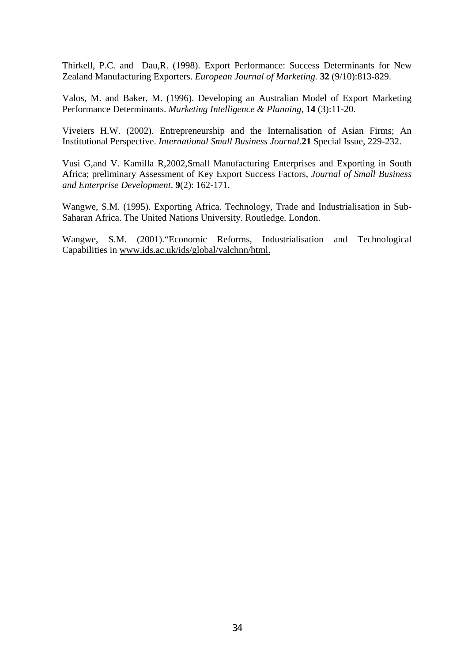Thirkell, P.C. and Dau,R. (1998). Export Performance: Success Determinants for New Zealand Manufacturing Exporters. *European Journal of Marketing.* **32** (9/10):813-829.

Valos, M. and Baker, M. (1996). Developing an Australian Model of Export Marketing Performance Determinants. *Marketing Intelligence & Planning,* **14** (3):11-20*.*

Viveiers H.W. (2002). Entrepreneurship and the Internalisation of Asian Firms; An Institutional Perspective. *International Small Business Journal*.**21** Special Issue, 229-232.

Vusi G,and V. Kamilla R,2002,Small Manufacturing Enterprises and Exporting in South Africa; preliminary Assessment of Key Export Success Factors, *Journal of Small Business and Enterprise Development*. **9**(2): 162-171.

Wangwe, S.M. (1995). Exporting Africa. Technology, Trade and Industrialisation in Sub-Saharan Africa. The United Nations University. Routledge. London.

Wangwe, S.M. (2001)."Economic Reforms, Industrialisation and Technological Capabilities in www.ids.ac.uk/ids/global/valchnn/html.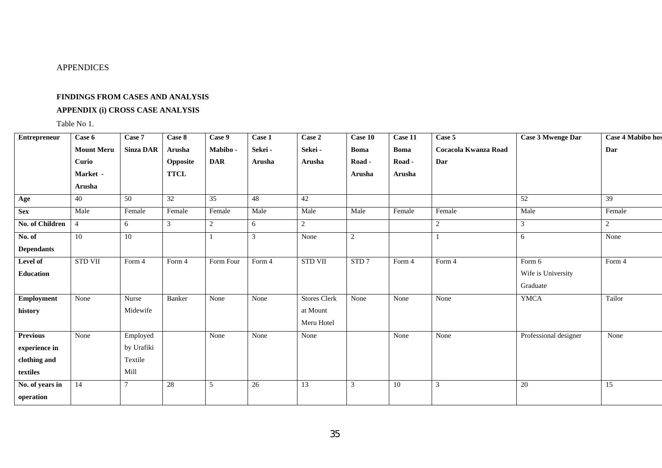#### APPENDICES

#### **FINDINGS FROM CASES AND ANALYSIS**

#### **APPENDIX (i) CROSS CASE ANALYSIS**

Table No 1.

| Entrepreneur           | Case 6            | Case 7           | Case 8      | Case 9     | Case 1  | Case 2              | Case 10          | $\overline{\text{Case}}$ 11 | Case 5               | Case 3 Mwenge Dar     | <b>Case 4 Mabibo hos</b> |
|------------------------|-------------------|------------------|-------------|------------|---------|---------------------|------------------|-----------------------------|----------------------|-----------------------|--------------------------|
|                        | <b>Mount Meru</b> | <b>Sinza DAR</b> | Arusha      | Mabibo-    | Sekei - | Sekei -             | <b>Boma</b>      | <b>Boma</b>                 | Cocacola Kwanza Road |                       | Dar                      |
|                        | Curio             |                  | Opposite    | <b>DAR</b> | Arusha  | Arusha              | Road -           | Road -                      | Dar                  |                       |                          |
|                        | Market -          |                  | <b>TTCL</b> |            |         |                     | Arusha           | Arusha                      |                      |                       |                          |
|                        | Arusha            |                  |             |            |         |                     |                  |                             |                      |                       |                          |
| Age                    | 40                | 50               | 32          | 35         | 48      | 42                  |                  |                             |                      | 52                    | 39                       |
| <b>Sex</b>             | Male              | Female           | Female      | Female     | Male    | Male                | Male             | Female                      | Female               | Male                  | Female                   |
| <b>No. of Children</b> | $\overline{4}$    | 6                | 3           | 2          | 6       | 2                   |                  |                             | $\overline{2}$       | 3                     | 2                        |
| No. of                 | $\overline{10}$   | 10               |             |            | 3       | None                | $\overline{c}$   |                             |                      | 6                     | None                     |
| <b>Dependants</b>      |                   |                  |             |            |         |                     |                  |                             |                      |                       |                          |
| Level of               | <b>STD VII</b>    | Form $4$         | Form 4      | Form Four  | Form 4  | <b>STD VII</b>      | STD <sub>7</sub> | Form 4                      | Form 4               | Form 6                | Form 4                   |
| Education              |                   |                  |             |            |         |                     |                  |                             |                      | Wife is University    |                          |
|                        |                   |                  |             |            |         |                     |                  |                             |                      | Graduate              |                          |
| Employment             | None              | Nurse            | Banker      | None       | None    | <b>Stores Clerk</b> | None             | None                        | None                 | <b>YMCA</b>           | Tailor                   |
| history                |                   | Midewife         |             |            |         | at Mount            |                  |                             |                      |                       |                          |
|                        |                   |                  |             |            |         | Meru Hotel          |                  |                             |                      |                       |                          |
| <b>Previous</b>        | None              | Employed         |             | None       | None    | None                |                  | None                        | None                 | Professional designer | None                     |
| experience in          |                   | by Urafiki       |             |            |         |                     |                  |                             |                      |                       |                          |
| clothing and           |                   | Textile          |             |            |         |                     |                  |                             |                      |                       |                          |
| textiles               |                   | Mill             |             |            |         |                     |                  |                             |                      |                       |                          |
| No. of years in        | 14                |                  | 28          | 5          | 26      | 13                  | 3                | 10                          | $\sqrt{3}$           | 20                    | 15                       |
| operation              |                   |                  |             |            |         |                     |                  |                             |                      |                       |                          |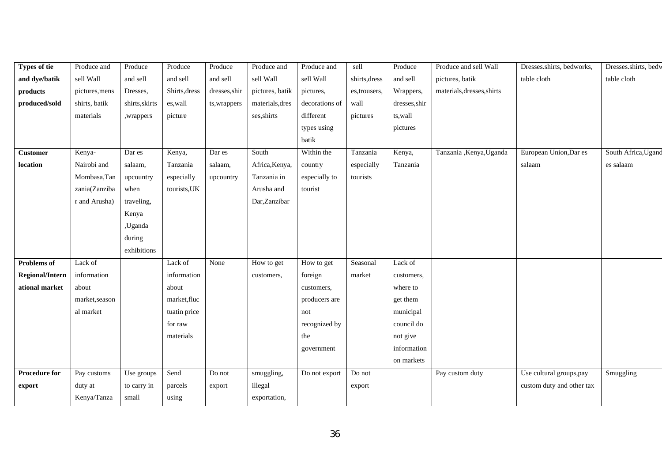| <b>Types of tie</b>    | Produce and    | Produce        | Produce       | Produce       | Produce and     | Produce and    | sell          | Produce       | Produce and sell Wall      | Dresses.shirts, bedworks, | Dresses.shirts, bedw |
|------------------------|----------------|----------------|---------------|---------------|-----------------|----------------|---------------|---------------|----------------------------|---------------------------|----------------------|
| and dye/batik          | sell Wall      | and sell       | and sell      | and sell      | sell Wall       | sell Wall      | shirts, dress | and sell      | pictures, batik            | table cloth               | table cloth          |
| products               | pictures, mens | Dresses,       | Shirts, dress | dresses, shir | pictures, batik | pictures,      | es,trousers,  | Wrappers,     | materials, dresses, shirts |                           |                      |
| produced/sold          | shirts, batik  | shirts, skirts | es, wall      | ts, wrappers  | materials, dres | decorations of | wall          | dresses, shir |                            |                           |                      |
|                        | materials      | ,wrappers      | picture       |               | ses, shirts     | different      | pictures      | ts, wall      |                            |                           |                      |
|                        |                |                |               |               |                 | types using    |               | pictures      |                            |                           |                      |
|                        |                |                |               |               |                 | batik          |               |               |                            |                           |                      |
| Customer               | Kenya-         | Dar es         | Kenya,        | Dar es        | South           | Within the     | Tanzania      | Kenya,        | Tanzania , Kenya, Uganda   | European Union, Dar es    | South Africa, Ugand  |
| location               | Nairobi and    | salaam,        | Tanzania      | salaam,       | Africa, Kenya,  | country        | especially    | Tanzania      |                            | salaam                    | es salaam            |
|                        | Mombasa, Tan   | upcountry      | especially    | upcountry     | Tanzania in     | especially to  | tourists      |               |                            |                           |                      |
|                        | zania(Zanziba  | when           | tourists, UK  |               | Arusha and      | tourist        |               |               |                            |                           |                      |
|                        | r and Arusha)  | traveling,     |               |               | Dar, Zanzibar   |                |               |               |                            |                           |                      |
|                        |                | Kenya          |               |               |                 |                |               |               |                            |                           |                      |
|                        |                | ,Uganda        |               |               |                 |                |               |               |                            |                           |                      |
|                        |                | during         |               |               |                 |                |               |               |                            |                           |                      |
|                        |                | exhibitions    |               |               |                 |                |               |               |                            |                           |                      |
| <b>Problems</b> of     | Lack of        |                | Lack of       | None          | How to get      | How to get     | Seasonal      | Lack of       |                            |                           |                      |
| <b>Regional/Intern</b> | information    |                | information   |               | customers,      | foreign        | market        | customers,    |                            |                           |                      |
| ational market         | about          |                | about         |               |                 | customers,     |               | where to      |                            |                           |                      |
|                        | market, season |                | market, fluc  |               |                 | producers are  |               | get them      |                            |                           |                      |
|                        | al market      |                | tuatin price  |               |                 | not            |               | municipal     |                            |                           |                      |
|                        |                |                | for raw       |               |                 | recognized by  |               | council do    |                            |                           |                      |
|                        |                |                | materials     |               |                 | the            |               | not give      |                            |                           |                      |
|                        |                |                |               |               |                 | government     |               | information   |                            |                           |                      |
|                        |                |                |               |               |                 |                |               | on markets    |                            |                           |                      |
| <b>Procedure for</b>   | Pay customs    | Use groups     | Send          | Do not        | smuggling,      | Do not export  | Do not        |               | Pay custom duty            | Use cultural groups, pay  | Smuggling            |
| export                 | duty at        | to carry in    | parcels       | export        | illegal         |                | export        |               |                            | custom duty and other tax |                      |
|                        | Kenya/Tanza    | small          | using         |               | exportation,    |                |               |               |                            |                           |                      |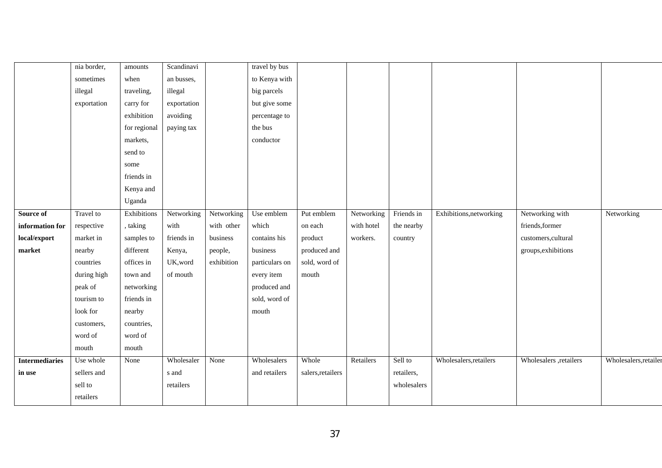|                       | nia border, | amounts      | Scandinavi  |            | travel by bus  |                   |            |             |                         |                         |                       |
|-----------------------|-------------|--------------|-------------|------------|----------------|-------------------|------------|-------------|-------------------------|-------------------------|-----------------------|
|                       | sometimes   | when         | an busses,  |            | to Kenya with  |                   |            |             |                         |                         |                       |
|                       | illegal     | traveling,   | illegal     |            | big parcels    |                   |            |             |                         |                         |                       |
|                       | exportation | carry for    | exportation |            | but give some  |                   |            |             |                         |                         |                       |
|                       |             | exhibition   | avoiding    |            | percentage to  |                   |            |             |                         |                         |                       |
|                       |             | for regional | paying tax  |            | the bus        |                   |            |             |                         |                         |                       |
|                       |             | markets,     |             |            | conductor      |                   |            |             |                         |                         |                       |
|                       |             | send to      |             |            |                |                   |            |             |                         |                         |                       |
|                       |             | some         |             |            |                |                   |            |             |                         |                         |                       |
|                       |             | friends in   |             |            |                |                   |            |             |                         |                         |                       |
|                       |             | Kenya and    |             |            |                |                   |            |             |                         |                         |                       |
|                       |             | Uganda       |             |            |                |                   |            |             |                         |                         |                       |
| Source of             | Travel to   | Exhibitions  | Networking  | Networking | Use emblem     | Put emblem        | Networking | Friends in  | Exhibitions, networking | Networking with         | Networking            |
| information for       | respective  | , taking     | with        | with other | which          | on each           | with hotel | the nearby  |                         | friends, former         |                       |
| local/export          | market in   | samples to   | friends in  | business   | contains his   | product           | workers.   | country     |                         | customers, cultural     |                       |
| market                | nearby      | different    | Kenya,      | people,    | business       | produced and      |            |             |                         | groups, exhibitions     |                       |
|                       | countries   | offices in   | UK, word    | exhibition | particulars on | sold, word of     |            |             |                         |                         |                       |
|                       | during high | town and     | of mouth    |            | every item     | mouth             |            |             |                         |                         |                       |
|                       | peak of     | networking   |             |            | produced and   |                   |            |             |                         |                         |                       |
|                       | tourism to  | friends in   |             |            | sold, word of  |                   |            |             |                         |                         |                       |
|                       | look for    | nearby       |             |            | mouth          |                   |            |             |                         |                         |                       |
|                       | customers,  | countries,   |             |            |                |                   |            |             |                         |                         |                       |
|                       | word of     | word of      |             |            |                |                   |            |             |                         |                         |                       |
|                       | mouth       | mouth        |             |            |                |                   |            |             |                         |                         |                       |
| <b>Intermediaries</b> | Use whole   | None         | Wholesaler  | None       | Wholesalers    | Whole             | Retailers  | Sell to     | Wholesalers, retailers  | Wholesalers , retailers | Wholesalers, retailer |
| in use                | sellers and |              | s and       |            | and retailers  | salers, retailers |            | retailers,  |                         |                         |                       |
|                       | sell to     |              | retailers   |            |                |                   |            | wholesalers |                         |                         |                       |
|                       | retailers   |              |             |            |                |                   |            |             |                         |                         |                       |
|                       |             |              |             |            |                |                   |            |             |                         |                         |                       |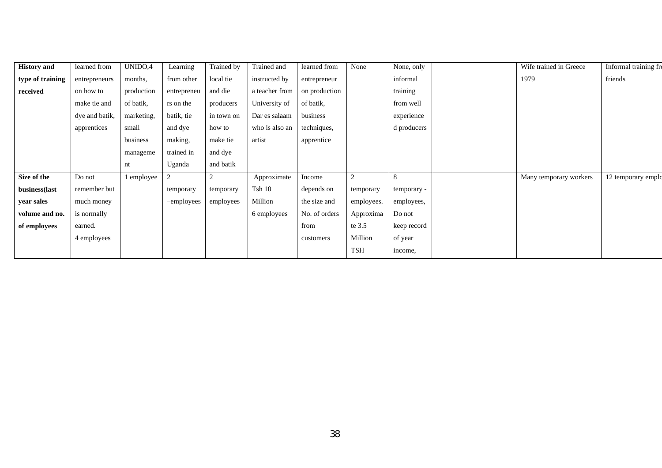| <b>History</b> and | learned from   | UNIDO,4    | Learning    | Trained by     | Trained and    | learned from  | None       | None, only  | Wife trained in Greece | Informal training fro |
|--------------------|----------------|------------|-------------|----------------|----------------|---------------|------------|-------------|------------------------|-----------------------|
| type of training   | entrepreneurs  | months,    | from other  | local tie      | instructed by  | entrepreneur  |            | informal    | 1979                   | friends               |
| received           | on how to      | production | entrepreneu | and die        | a teacher from | on production |            | training    |                        |                       |
|                    | make tie and   | of batik,  | rs on the   | producers      | University of  | of batik.     |            | from well   |                        |                       |
|                    | dye and batik, | marketing, | batik, tie  | in town on     | Dar es salaam  | business      |            | experience  |                        |                       |
|                    | apprentices    | small      | and dye     | how to         | who is also an | techniques,   |            | d producers |                        |                       |
|                    |                | business   | making,     | make tie       | artist         | apprentice    |            |             |                        |                       |
|                    |                | manageme   | trained in  | and dye        |                |               |            |             |                        |                       |
|                    |                | nt         | Uganda      | and batik      |                |               |            |             |                        |                       |
| Size of the        | Do not         | 1 employee | 2           | $\overline{2}$ | Approximate    | Income        | 2          | 8           | Many temporary workers | 12 temporary emplo    |
| business(last      | remember but   |            | temporary   | temporary      | Tsh10          | depends on    | temporary  | temporary - |                        |                       |
| year sales         | much money     |            | -employees  | employees      | Million        | the size and  | employees. | employees,  |                        |                       |
| volume and no.     | is normally    |            |             |                | 6 employees    | No. of orders | Approxima  | Do not      |                        |                       |
| of employees       | earned.        |            |             |                |                | from          | te 3.5     | keep record |                        |                       |
|                    | 4 employees    |            |             |                |                | customers     | Million    | of year     |                        |                       |
|                    |                |            |             |                |                |               | <b>TSH</b> | income,     |                        |                       |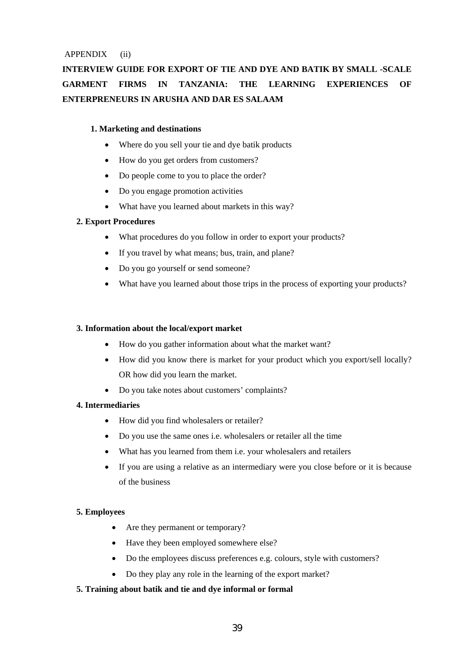APPENDIX (ii)

## **INTERVIEW GUIDE FOR EXPORT OF TIE AND DYE AND BATIK BY SMALL -SCALE GARMENT FIRMS IN TANZANIA: THE LEARNING EXPERIENCES OF ENTERPRENEURS IN ARUSHA AND DAR ES SALAAM**

#### **1. Marketing and destinations**

- Where do you sell your tie and dye batik products
- How do you get orders from customers?
- Do people come to you to place the order?
- Do you engage promotion activities
- What have you learned about markets in this way?

#### **2. Export Procedures**

- What procedures do you follow in order to export your products?
- If you travel by what means; bus, train, and plane?
- Do you go yourself or send someone?
- What have you learned about those trips in the process of exporting your products?

#### **3. Information about the local/export market**

- How do you gather information about what the market want?
- How did you know there is market for your product which you export/sell locally? OR how did you learn the market.
- Do you take notes about customers' complaints?

#### **4. Intermediaries**

- How did you find wholesalers or retailer?
- Do you use the same ones i.e. wholesalers or retailer all the time
- What has you learned from them i.e. your wholesalers and retailers
- If you are using a relative as an intermediary were you close before or it is because of the business

#### **5. Employees**

- Are they permanent or temporary?
- Have they been employed somewhere else?
- Do the employees discuss preferences e.g. colours, style with customers?
- Do they play any role in the learning of the export market?

#### **5. Training about batik and tie and dye informal or formal**